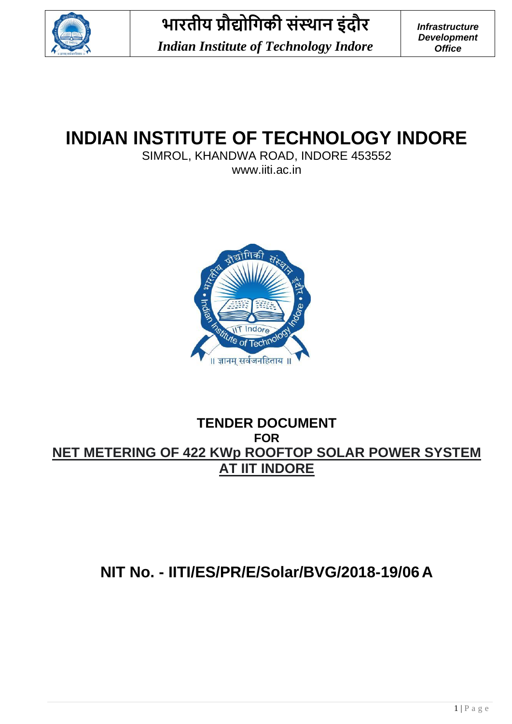

# **INDIAN INSTITUTE OF TECHNOLOGY INDORE**

SIMROL, KHANDWA ROAD, INDORE 453552

www.iiti.ac.in



### **TENDER DOCUMENT FOR NET METERING OF 422 KWp ROOFTOP SOLAR POWER SYSTEM AT IIT INDORE**

### **NIT No. - IITI/ES/PR/E/Solar/BVG/2018-19/06 A**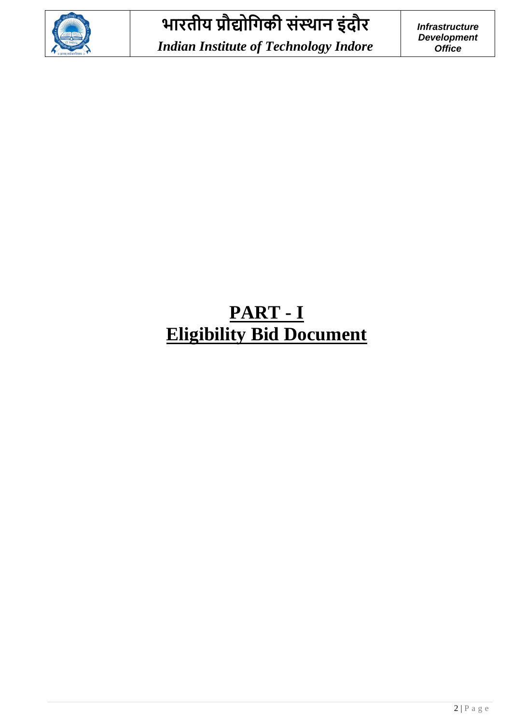

# **PART - I Eligibility Bid Document**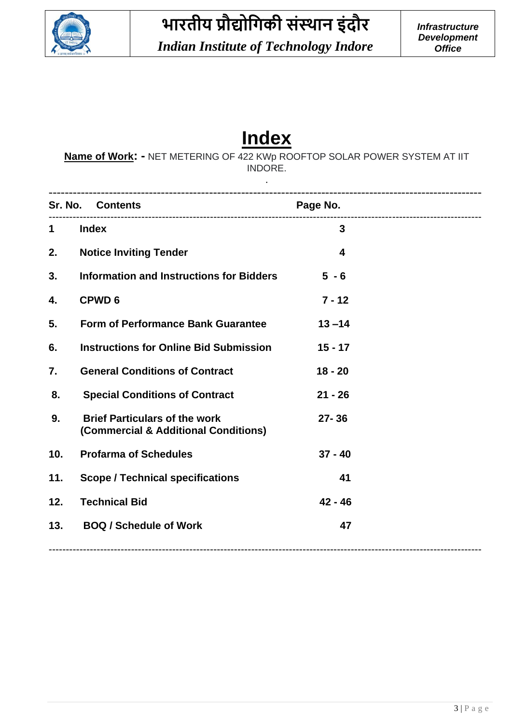

# **Index**

**Name of Work: -** NET METERING OF 422 KWp ROOFTOP SOLAR POWER SYSTEM AT IIT INDORE.

.

|             | Sr. No. Contents                                                             | Page No.     |
|-------------|------------------------------------------------------------------------------|--------------|
| $\mathbf 1$ | <b>Index</b>                                                                 | $\mathbf{3}$ |
| 2.          | <b>Notice Inviting Tender</b>                                                | 4            |
| 3.          | <b>Information and Instructions for Bidders</b>                              | $5 - 6$      |
| 4.          | <b>CPWD6</b>                                                                 | $7 - 12$     |
| 5.          | <b>Form of Performance Bank Guarantee</b>                                    | $13 - 14$    |
| 6.          | <b>Instructions for Online Bid Submission</b>                                | $15 - 17$    |
| 7.          | <b>General Conditions of Contract</b>                                        | $18 - 20$    |
| 8.          | <b>Special Conditions of Contract</b>                                        | $21 - 26$    |
| 9.          | <b>Brief Particulars of the work</b><br>(Commercial & Additional Conditions) | $27 - 36$    |
| 10.         | <b>Profarma of Schedules</b>                                                 | $37 - 40$    |
| 11.         | <b>Scope / Technical specifications</b>                                      | 41           |
| 12.         | <b>Technical Bid</b>                                                         | $42 - 46$    |
| 13.         | <b>BOQ / Schedule of Work</b>                                                | 47           |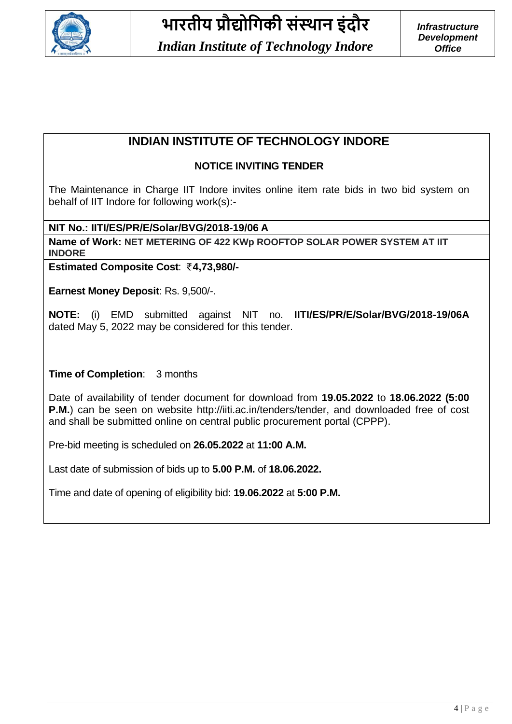

### **INDIAN INSTITUTE OF TECHNOLOGY INDORE**

### **NOTICE INVITING TENDER**

The Maintenance in Charge IIT Indore invites online item rate bids in two bid system on behalf of IIT Indore for following work(s):-

**NIT No.: IITI/ES/PR/E/Solar/BVG/2018-19/06 A** 

**Name of Work: NET METERING OF 422 KWp ROOFTOP SOLAR POWER SYSTEM AT IIT INDORE**

**Estimated Composite Cost: ₹4,73,980/-**

**Earnest Money Deposit**: Rs. 9,500/-.

**NOTE:** (i) EMD submitted against NIT no. **IITI/ES/PR/E/Solar/BVG/2018-19/06A**  dated May 5, 2022 may be considered for this tender.

**Time of Completion**: 3 months

Date of availability of tender document for download from **19.05.2022** to **18.06.2022 (5:00 P.M.**) can be seen on website [http://iiti.ac.in/tenders/tender,](http://iiti.ac.in/tenders/tender) and downloaded free of cost and shall be submitted online on central public procurement portal (CPPP).

Pre-bid meeting is scheduled on **26.05.2022** at **11:00 A.M.**

Last date of submission of bids up to **5.00 P.M.** of **18.06.2022.**

Time and date of opening of eligibility bid: **19.06.2022** at **5:00 P.M.**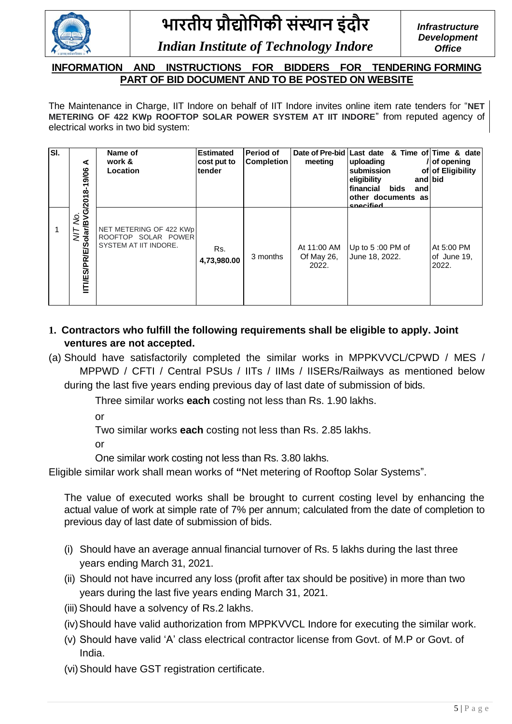

#### **INFORMATION AND INSTRUCTIONS FOR BIDDERS FOR TENDERING FORMING PART OF BID DOCUMENT AND TO BE POSTED ON WEBSITE**

The Maintenance in Charge, IIT Indore on behalf of IIT Indore invites online item rate tenders for "**NET METERING OF 422 KWp ROOFTOP SOLAR POWER SYSTEM AT IIT INDORE**" from reputed agency of electrical works in two bid system:

| SI. | ⋖                                            | Name of<br>work &<br>Location                                                  | <b>Estimated</b><br>cost put to<br>tender | Period of<br><b>Completion</b> | meeting                            | Date of Pre-bid Last date & Time of Time & date<br> uploading<br>submission<br>eligibility<br>and bid<br><b>Ifinancial</b><br>bids<br>and<br>other documents as<br>snocifiod | /of opening<br>of of Eligibility   |
|-----|----------------------------------------------|--------------------------------------------------------------------------------|-------------------------------------------|--------------------------------|------------------------------------|------------------------------------------------------------------------------------------------------------------------------------------------------------------------------|------------------------------------|
|     | M/T No.<br>IITI/ES/PR/E/Solar/BVG/2018-19/06 | NET METERING OF 422 KWp<br>ROOFTOP SOLAR POWER<br><b>SYSTEM AT IIT INDORE.</b> | Rs.<br>4,73,980.00                        | 3 months                       | At 11:00 AM<br>Of May 26,<br>2022. | Up to 5 :00 PM of<br>June 18, 2022.                                                                                                                                          | At 5:00 PM<br>of June 19,<br>2022. |

- **1. Contractors who fulfill the following requirements shall be eligible to apply. Joint ventures are not accepted.**
- (a) Should have satisfactorily completed the similar works in MPPKVVCL/CPWD / MES / MPPWD / CFTI / Central PSUs / IITs / IIMs / IISERs/Railways as mentioned below
	- during the last five years ending previous day of last date of submission of bids.

Three similar works **each** costing not less than Rs. 1.90 lakhs.

or

Two similar works **each** costing not less than Rs. 2.85 lakhs.

or

One similar work costing not less than Rs. 3.80 lakhs.

Eligible similar work shall mean works of **"**Net metering of Rooftop Solar Systems".

The value of executed works shall be brought to current costing level by enhancing the actual value of work at simple rate of 7% per annum; calculated from the date of completion to previous day of last date of submission of bids.

- (i) Should have an average annual financial turnover of Rs. 5 lakhs during the last three years ending March 31, 2021.
- (ii) Should not have incurred any loss (profit after tax should be positive) in more than two years during the last five years ending March 31, 2021.
- (iii) Should have a solvency of Rs.2 lakhs.
- (iv)Should have valid authorization from MPPKVVCL Indore for executing the similar work.
- (v) Should have valid 'A' class electrical contractor license from Govt. of M.P or Govt. of India.
- (vi) Should have GST registration certificate.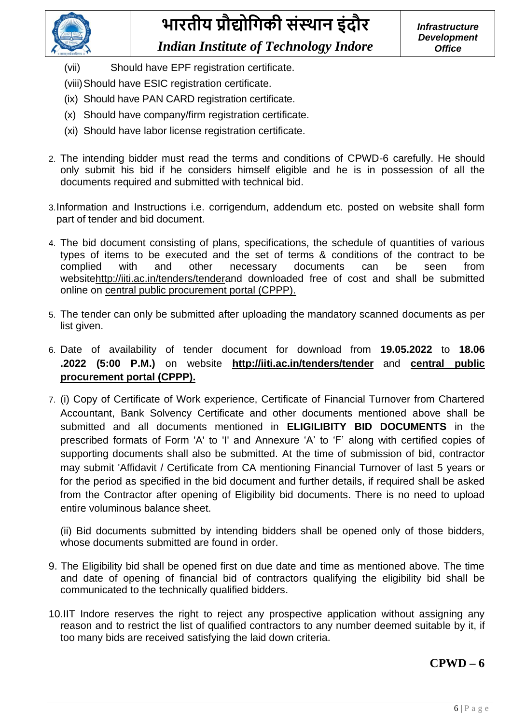

- (vii) Should have EPF registration certificate.
- (viii)Should have ESIC registration certificate.
- (ix) Should have PAN CARD registration certificate.
- (x) Should have company/firm registration certificate.
- (xi) Should have labor license registration certificate.
- 2. The intending bidder must read the terms and conditions of CPWD-6 carefully. He should only submit his bid if he considers himself eligible and he is in possession of all the documents required and submitted with technical bid.
- 3.Information and Instructions i.e. corrigendum, addendum etc. posted on website shall form part of tender and bid document.
- 4. The bid document consisting of plans, specifications, the schedule of quantities of various types of items to be executed and the set of terms & conditions of the contract to be complied with and other necessary documents can be seen from websit[ehttp://iiti.ac.in/tenders/tendera](http://iiti.ac.in/tenders/tender)nd downloaded free of cost and shall be submitted online on central public procurement portal (CPPP).
- 5. The tender can only be submitted after uploading the mandatory scanned documents as per list given.
- 6. Date of availability of tender document for download from **19.05.2022** to **18.06 .2022 (5:00 P.M.)** on website **<http://iiti.ac.in/tenders/tender>** and **central public procurement portal (CPPP).**
- 7. (i) Copy of Certificate of Work experience, Certificate of Financial Turnover from Chartered Accountant, Bank Solvency Certificate and other documents mentioned above shall be submitted and all documents mentioned in **ELIGILIBITY BID DOCUMENTS** in the prescribed formats of Form 'A' to 'I' and Annexure 'A' to 'F' along with certified copies of supporting documents shall also be submitted. At the time of submission of bid, contractor may submit 'Affidavit / Certificate from CA mentioning Financial Turnover of last 5 years or for the period as specified in the bid document and further details, if required shall be asked from the Contractor after opening of Eligibility bid documents. There is no need to upload entire voluminous balance sheet.

(ii) Bid documents submitted by intending bidders shall be opened only of those bidders, whose documents submitted are found in order.

- 9. The Eligibility bid shall be opened first on due date and time as mentioned above. The time and date of opening of financial bid of contractors qualifying the eligibility bid shall be communicated to the technically qualified bidders.
- 10.IIT Indore reserves the right to reject any prospective application without assigning any reason and to restrict the list of qualified contractors to any number deemed suitable by it, if too many bids are received satisfying the laid down criteria.

### **CPWD – 6**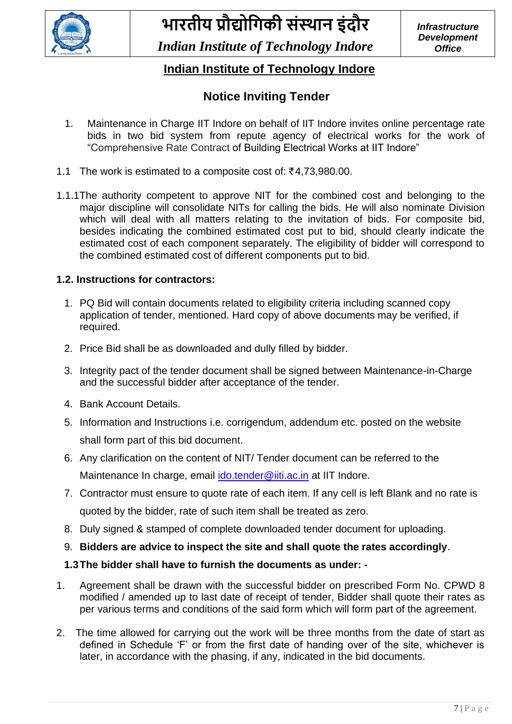

### **Indian Institute of Technology Indore**

### **Notice Inviting Tender**

- 1. Maintenance in Charge IIT Indore on behalf of IIT Indore invites online percentage rate bids in two bid system from repute agency of electrical works for the work of "Comprehensive Rate Contract of Building Electrical Works at IIT Indore"
- 1.1 The work is estimated to a composite cost of:  $\bar{\xi}$ 4.73.980.00.
- 1.1.1The authority competent to approve NIT for the combined cost and belonging to the major discipline will consolidate NITs for calling the bids. He will also nominate Division which will deal with all matters relating to the invitation of bids. For composite bid, besides indicating the combined estimated cost put to bid, should clearly indicate the estimated cost of each component separately. The eligibility of bidder will correspond to the combined estimated cost of different components put to bid.

### **1.2. Instructions for contractors:**

- 1. PQ Bid will contain documents related to eligibility criteria including scanned copy application of tender, mentioned. Hard copy of above documents may be verified, if required.
- 2. Price Bid shall be as downloaded and dully filled by bidder.
- 3. Integrity pact of the tender document shall be signed between Maintenance-in-Charge and the successful bidder after acceptance of the tender.
- 4. Bank Account Details.
- 5. Information and Instructions i.e. corrigendum, addendum etc. posted on the website shall form part of this bid document.
- 6. Any clarification on the content of NIT/ Tender document can be referred to the Maintenance In charge, email [ido.tender@iiti.ac.in](mailto:ido.tender@iiti.ac.in) at IIT Indore.
- 7. Contractor must ensure to quote rate of each item. If any cell is left Blank and no rate is quoted by the bidder, rate of such item shall be treated as zero.
- 8. Duly signed & stamped of complete downloaded tender document for uploading.
- 9. **Bidders are advice to inspect the site and shall quote the rates accordingly**.

### **1.3The bidder shall have to furnish the documents as under: -**

- 1. Agreement shall be drawn with the successful bidder on prescribed Form No. CPWD 8 modified / amended up to last date of receipt of tender, Bidder shall quote their rates as per various terms and conditions of the said form which will form part of the agreement.
- 2. The time allowed for carrying out the work will be three months from the date of start as defined in Schedule 'F' or from the first date of handing over of the site, whichever is later, in accordance with the phasing, if any, indicated in the bid documents.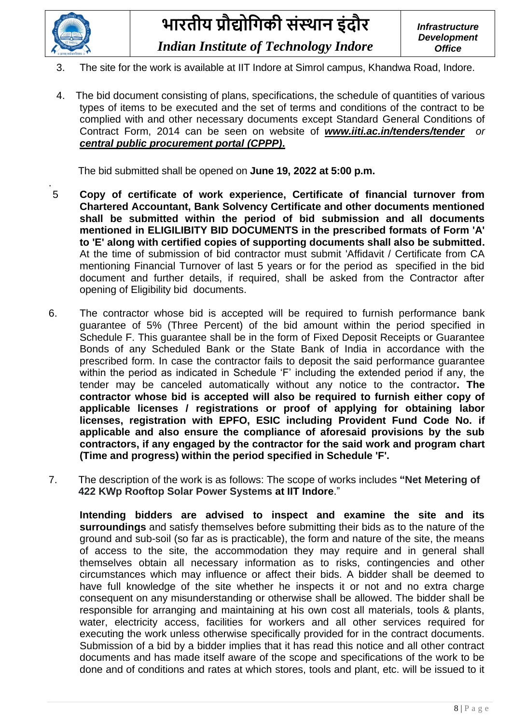

- 3. The site for the work is available at IIT Indore at Simrol campus, Khandwa Road, Indore.
- 4. The bid document consisting of plans, specifications, the schedule of quantities of various types of items to be executed and the set of terms and conditions of the contract to be complied with and other necessary documents except Standard General Conditions of Contract Form, 2014 can be seen on website of *[www.iiti.ac.in/tenders/tender](http://www.iiti.ac.in/tenders/tender) or central public procurement portal (CPPP)***.**

The bid submitted shall be opened on **June 19, 2022 at 5:00 p.m.**

- . 5 **Copy of certificate of work experience, Certificate of financial turnover from Chartered Accountant, Bank Solvency Certificate and other documents mentioned shall be submitted within the period of bid submission and all documents mentioned in ELIGILIBITY BID DOCUMENTS in the prescribed formats of Form 'A' to 'E' along with certified copies of supporting documents shall also be submitted.** At the time of submission of bid contractor must submit 'Affidavit / Certificate from CA mentioning Financial Turnover of last 5 years or for the period as specified in the bid document and further details, if required, shall be asked from the Contractor after opening of Eligibility bid documents.
- 6. The contractor whose bid is accepted will be required to furnish performance bank guarantee of 5% (Three Percent) of the bid amount within the period specified in Schedule F. This guarantee shall be in the form of Fixed Deposit Receipts or Guarantee Bonds of any Scheduled Bank or the State Bank of India in accordance with the prescribed form. In case the contractor fails to deposit the said performance guarantee within the period as indicated in Schedule 'F' including the extended period if any, the tender may be canceled automatically without any notice to the contractor**. The contractor whose bid is accepted will also be required to furnish either copy of applicable licenses / registrations or proof of applying for obtaining labor licenses, registration with EPFO, ESIC including Provident Fund Code No. if applicable and also ensure the compliance of aforesaid provisions by the sub contractors, if any engaged by the contractor for the said work and program chart (Time and progress) within the period specified in Schedule 'F'.**
- 7. The description of the work is as follows: The scope of works includes **"Net Metering of 422 KWp Rooftop Solar Power Systems at IIT Indore**."

**Intending bidders are advised to inspect and examine the site and its surroundings** and satisfy themselves before submitting their bids as to the nature of the ground and sub-soil (so far as is practicable), the form and nature of the site, the means of access to the site, the accommodation they may require and in general shall themselves obtain all necessary information as to risks, contingencies and other circumstances which may influence or affect their bids. A bidder shall be deemed to have full knowledge of the site whether he inspects it or not and no extra charge consequent on any misunderstanding or otherwise shall be allowed. The bidder shall be responsible for arranging and maintaining at his own cost all materials, tools & plants, water, electricity access, facilities for workers and all other services required for executing the work unless otherwise specifically provided for in the contract documents. Submission of a bid by a bidder implies that it has read this notice and all other contract documents and has made itself aware of the scope and specifications of the work to be done and of conditions and rates at which stores, tools and plant, etc. will be issued to it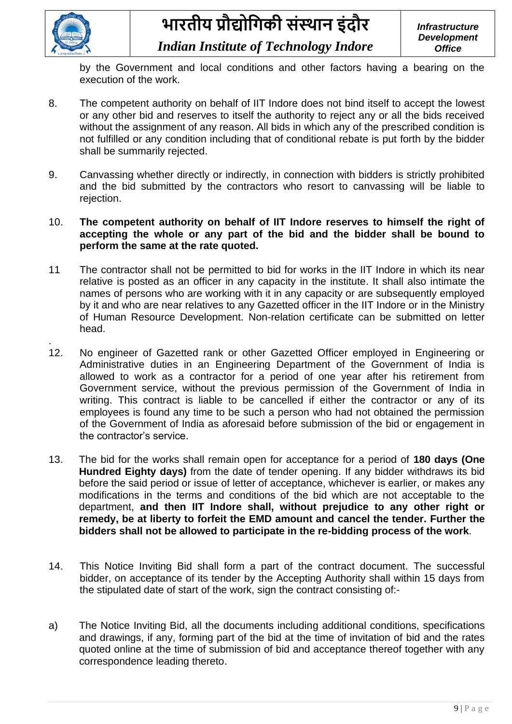

.

*Indian Institute of Technology Indore*

by the Government and local conditions and other factors having a bearing on the execution of the work.

- 8. The competent authority on behalf of IIT Indore does not bind itself to accept the lowest or any other bid and reserves to itself the authority to reject any or all the bids received without the assignment of any reason. All bids in which any of the prescribed condition is not fulfilled or any condition including that of conditional rebate is put forth by the bidder shall be summarily rejected.
- 9. Canvassing whether directly or indirectly, in connection with bidders is strictly prohibited and the bid submitted by the contractors who resort to canvassing will be liable to rejection.
- 10. **The competent authority on behalf of IIT Indore reserves to himself the right of accepting the whole or any part of the bid and the bidder shall be bound to perform the same at the rate quoted.**
- 11 The contractor shall not be permitted to bid for works in the IIT Indore in which its near relative is posted as an officer in any capacity in the institute. It shall also intimate the names of persons who are working with it in any capacity or are subsequently employed by it and who are near relatives to any Gazetted officer in the IIT Indore or in the Ministry of Human Resource Development. Non-relation certificate can be submitted on letter head.
- 12. No engineer of Gazetted rank or other Gazetted Officer employed in Engineering or Administrative duties in an Engineering Department of the Government of India is allowed to work as a contractor for a period of one year after his retirement from Government service, without the previous permission of the Government of India in writing. This contract is liable to be cancelled if either the contractor or any of its employees is found any time to be such a person who had not obtained the permission of the Government of India as aforesaid before submission of the bid or engagement in the contractor's service.
- 13. The bid for the works shall remain open for acceptance for a period of **180 days (One Hundred Eighty days)** from the date of tender opening. If any bidder withdraws its bid before the said period or issue of letter of acceptance, whichever is earlier, or makes any modifications in the terms and conditions of the bid which are not acceptable to the department, **and then IIT Indore shall, without prejudice to any other right or remedy, be at liberty to forfeit the EMD amount and cancel the tender. Further the bidders shall not be allowed to participate in the re-bidding process of the work**.
- 14. This Notice Inviting Bid shall form a part of the contract document. The successful bidder, on acceptance of its tender by the Accepting Authority shall within 15 days from the stipulated date of start of the work, sign the contract consisting of:-
- a) The Notice Inviting Bid, all the documents including additional conditions, specifications and drawings, if any, forming part of the bid at the time of invitation of bid and the rates quoted online at the time of submission of bid and acceptance thereof together with any correspondence leading thereto.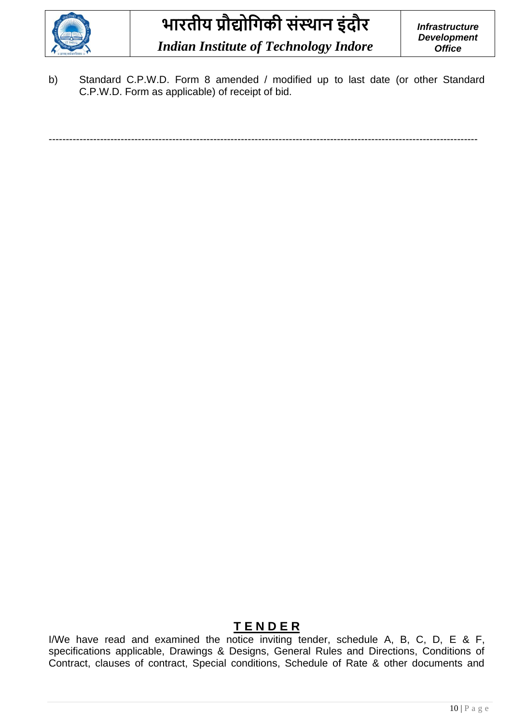

b) Standard C.P.W.D. Form 8 amended / modified up to last date (or other Standard C.P.W.D. Form as applicable) of receipt of bid.

-----------------------------------------------------------------------------------------------------------------------------

### **T E N D E R**

I/We have read and examined the notice inviting tender, schedule A, B, C, D, E & F, specifications applicable, Drawings & Designs, General Rules and Directions, Conditions of Contract, clauses of contract, Special conditions, Schedule of Rate & other documents and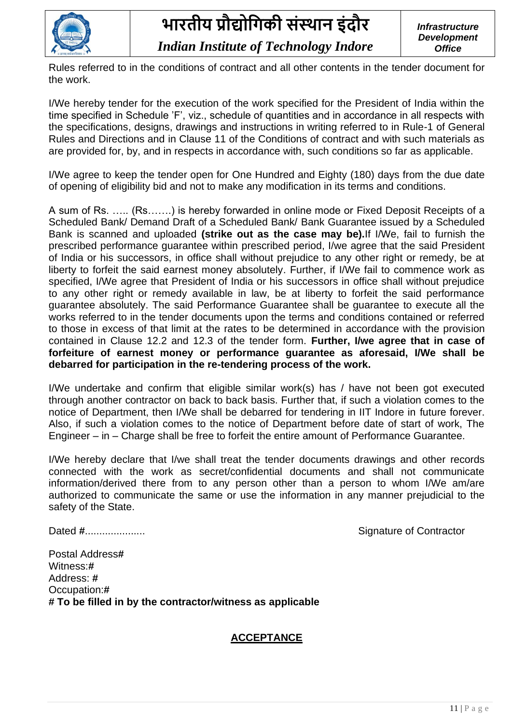

Rules referred to in the conditions of contract and all other contents in the tender document for the work.

I/We hereby tender for the execution of the work specified for the President of India within the time specified in Schedule 'F', viz., schedule of quantities and in accordance in all respects with the specifications, designs, drawings and instructions in writing referred to in Rule-1 of General Rules and Directions and in Clause 11 of the Conditions of contract and with such materials as are provided for, by, and in respects in accordance with, such conditions so far as applicable.

I/We agree to keep the tender open for One Hundred and Eighty (180) days from the due date of opening of eligibility bid and not to make any modification in its terms and conditions.

A sum of Rs. ….. (Rs…….) is hereby forwarded in online mode or Fixed Deposit Receipts of a Scheduled Bank/ Demand Draft of a Scheduled Bank/ Bank Guarantee issued by a Scheduled Bank is scanned and uploaded **(strike out as the case may be).**If I/We, fail to furnish the prescribed performance guarantee within prescribed period, I/we agree that the said President of India or his successors, in office shall without prejudice to any other right or remedy, be at liberty to forfeit the said earnest money absolutely. Further, if I/We fail to commence work as specified, I/We agree that President of India or his successors in office shall without prejudice to any other right or remedy available in law, be at liberty to forfeit the said performance guarantee absolutely. The said Performance Guarantee shall be guarantee to execute all the works referred to in the tender documents upon the terms and conditions contained or referred to those in excess of that limit at the rates to be determined in accordance with the provision contained in Clause 12.2 and 12.3 of the tender form. **Further, I/we agree that in case of forfeiture of earnest money or performance guarantee as aforesaid, I/We shall be debarred for participation in the re-tendering process of the work.** 

I/We undertake and confirm that eligible similar work(s) has / have not been got executed through another contractor on back to back basis. Further that, if such a violation comes to the notice of Department, then I/We shall be debarred for tendering in IIT Indore in future forever. Also, if such a violation comes to the notice of Department before date of start of work, The Engineer – in – Charge shall be free to forfeit the entire amount of Performance Guarantee.

I/We hereby declare that I/we shall treat the tender documents drawings and other records connected with the work as secret/confidential documents and shall not communicate information/derived there from to any person other than a person to whom I/We am/are authorized to communicate the same or use the information in any manner prejudicial to the safety of the State.

Dated **#**..................... Signature of Contractor

Postal Address**#** Witness:**#** Address: **#** Occupation:**# # To be filled in by the contractor/witness as applicable**

### **ACCEPTANCE**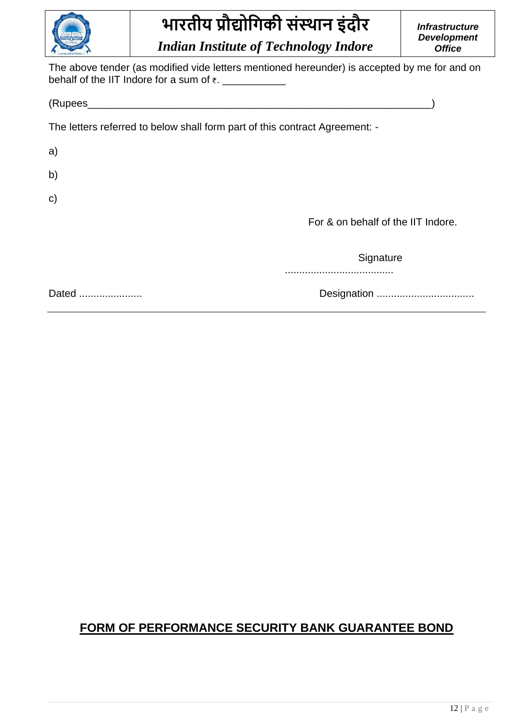

*Indian Institute of Technology Indore*

*Infrastructure Development Office*

The above tender (as modified vide letters mentioned hereunder) is accepted by me for and on behalf of the IIT Indore for a sum of  $\overline{\tau}$ .

(Rupees\_\_\_\_\_\_\_\_\_\_\_\_\_\_\_\_\_\_\_\_\_\_\_\_\_\_\_\_\_\_\_\_\_\_\_\_\_\_\_\_\_\_\_\_\_\_\_\_\_\_\_\_\_\_\_\_\_\_\_\_)

The letters referred to below shall form part of this contract Agreement: -

a)

b)

c)

For & on behalf of the IIT Indore.

**Signature** 

......................................

Dated ...................... Designation ..................................

### **FORM OF PERFORMANCE SECURITY BANK GUARANTEE BOND**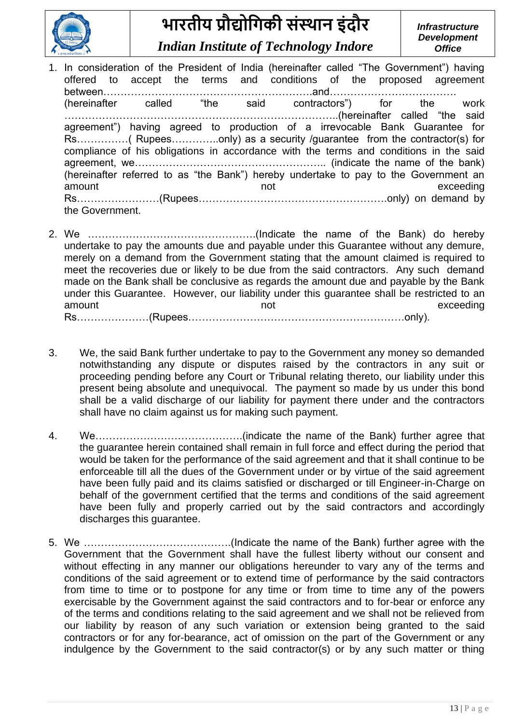

*Indian Institute of Technology Indore*

- 1. In consideration of the President of India (hereinafter called "The Government") having offered to accept the terms and conditions of the proposed agreement between…………………………………………………….and………………………………. (hereinafter called "the said contractors") for the work ……………………………………………………………………..(hereinafter called "the said agreement") having agreed to production of a irrevocable Bank Guarantee for Rs……………( Rupees…………..only) as a security /guarantee from the contractor(s) for compliance of his obligations in accordance with the terms and conditions in the said agreement, we……………………………………………….. (indicate the name of the bank) (hereinafter referred to as "the Bank") hereby undertake to pay to the Government an amount exceeding and the contract of the contract of the contract of the contract of the contract of the contract of the contract of the contract of the contract of the contract of the contract of the contract of the contr Rs……………………(Rupees……………………………………………….only) on demand by the Government.
- 2. We ………………………………………….(Indicate the name of the Bank) do hereby undertake to pay the amounts due and payable under this Guarantee without any demure, merely on a demand from the Government stating that the amount claimed is required to meet the recoveries due or likely to be due from the said contractors. Any such demand made on the Bank shall be conclusive as regards the amount due and payable by the Bank under this Guarantee. However, our liability under this guarantee shall be restricted to an amount amount and the exceeding Rs…………………(Rupees………………………………………………………only).
- 3. We, the said Bank further undertake to pay to the Government any money so demanded notwithstanding any dispute or disputes raised by the contractors in any suit or proceeding pending before any Court or Tribunal relating thereto, our liability under this present being absolute and unequivocal. The payment so made by us under this bond shall be a valid discharge of our liability for payment there under and the contractors shall have no claim against us for making such payment.
- 4. We…………………………………….(indicate the name of the Bank) further agree that the guarantee herein contained shall remain in full force and effect during the period that would be taken for the performance of the said agreement and that it shall continue to be enforceable till all the dues of the Government under or by virtue of the said agreement have been fully paid and its claims satisfied or discharged or till Engineer-in-Charge on behalf of the government certified that the terms and conditions of the said agreement have been fully and properly carried out by the said contractors and accordingly discharges this guarantee.
- 5. We …………………………………….(Indicate the name of the Bank) further agree with the Government that the Government shall have the fullest liberty without our consent and without effecting in any manner our obligations hereunder to vary any of the terms and conditions of the said agreement or to extend time of performance by the said contractors from time to time or to postpone for any time or from time to time any of the powers exercisable by the Government against the said contractors and to for-bear or enforce any of the terms and conditions relating to the said agreement and we shall not be relieved from our liability by reason of any such variation or extension being granted to the said contractors or for any for-bearance, act of omission on the part of the Government or any indulgence by the Government to the said contractor(s) or by any such matter or thing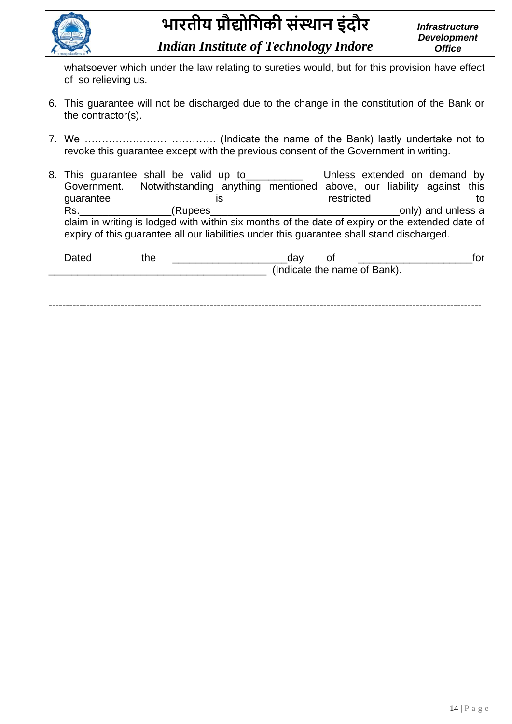

whatsoever which under the law relating to sureties would, but for this provision have effect of so relieving us.

- 6. This guarantee will not be discharged due to the change in the constitution of the Bank or the contractor(s).
- 7. We …………………… …………. (Indicate the name of the Bank) lastly undertake not to revoke this guarantee except with the previous consent of the Government in writing.
- 8. This guarantee shall be valid up to **Unless extended on demand by** Government. Notwithstanding anything mentioned above, our liability against this quarantee is is restricted to to Rs.\_\_\_\_\_\_\_\_\_\_\_\_\_\_\_\_(Rupees\_\_\_\_\_\_\_\_\_\_\_\_\_\_\_\_\_\_\_\_\_\_\_\_\_\_\_\_\_\_\_\_\_only) and unless a claim in writing is lodged with within six months of the date of expiry or the extended date of expiry of this guarantee all our liabilities under this guarantee shall stand discharged.

| )ateo | me | uav                          | '∩r<br>U |
|-------|----|------------------------------|----------|
|       |    | (Indicate the name of Bank). |          |
|       |    |                              |          |

------------------------------------------------------------------------------------------------------------------------------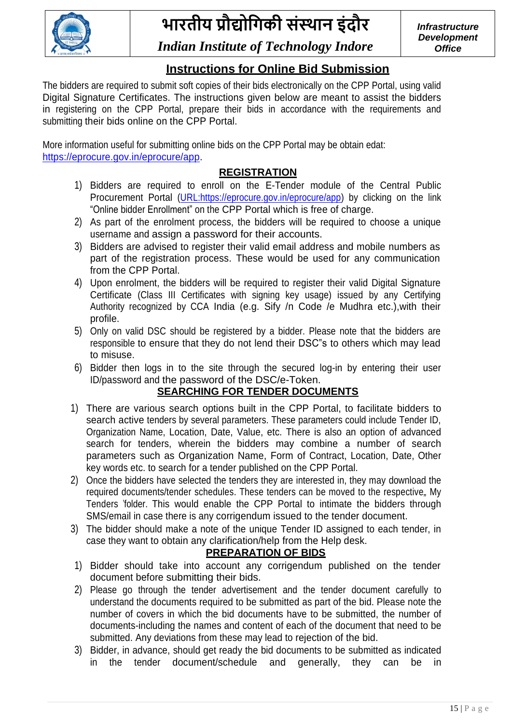

*Infrastructure Development Office*

### *Indian Institute of Technology Indore*

### **Instructions for Online Bid Submission**

The bidders are required to submit soft copies of their bids electronically on the CPP Portal, using valid Digital Signature Certificates. The instructions given below are meant to assist the bidders in registering on the CPP Portal, prepare their bids in accordance with the requirements and submitting their bids online on the CPP Portal.

More information useful for submitting online bids on the CPP Portal may be obtain edat: [https://eprocure.gov.in/eprocure/app.](https://eprocure.gov.in/eprocure/app)

### **REGISTRATION**

- 1) Bidders are required to enroll on the E-Tender module of the Central Public Procurement Portal [\(URL:https://eprocure.gov.in/eprocure/app\)](https://eprocure.gov.in/eprocure/app) by clicking on the link "Online bidder Enrollment" on the CPP Portal which is free of charge.
- 2) As part of the enrolment process, the bidders will be required to choose a unique username and assign a password for their accounts.
- 3) Bidders are advised to register their valid email address and mobile numbers as part of the registration process. These would be used for any communication from the CPP Portal.
- 4) Upon enrolment, the bidders will be required to register their valid Digital Signature Certificate (Class III Certificates with signing key usage) issued by any Certifying Authority recognized by CCA India (e.g. Sify /n Code /e Mudhra etc.),with their profile.
- 5) Only on valid DSC should be registered by a bidder. Please note that the bidders are responsible to ensure that they do not lend their DSC"s to others which may lead to misuse.
- 6) Bidder then logs in to the site through the secured log-in by entering their user ID/password and the password of the DSC/e-Token.

### **SEARCHING FOR TENDER DOCUMENTS**

- 1) There are various search options built in the CPP Portal, to facilitate bidders to search active tenders by several parameters. These parameters could include Tender ID, Organization Name, Location, Date, Value, etc. There is also an option of advanced search for tenders, wherein the bidders may combine a number of search parameters such as Organization Name, Form of Contract, Location, Date, Other key words etc. to search for a tender published on the CPP Portal.
- 2) Once the bidders have selected the tenders they are interested in, they may download the required documents/tender schedules. These tenders can be moved to the respective. My Tenders "folder. This would enable the CPP Portal to intimate the bidders through SMS/email in case there is any corrigendum issued to the tender document.
- 3) The bidder should make a note of the unique Tender ID assigned to each tender, in case they want to obtain any clarification/help from the Help desk.

### **PREPARATION OF BIDS**

- 1) Bidder should take into account any corrigendum published on the tender document before submitting their bids.
- 2) Please go through the tender advertisement and the tender document carefully to understand the documents required to be submitted as part of the bid. Please note the number of covers in which the bid documents have to be submitted, the number of documents-including the names and content of each of the document that need to be submitted. Any deviations from these may lead to rejection of the bid.
- 3) Bidder, in advance, should get ready the bid documents to be submitted as indicated in the tender document/schedule and generally, they can be in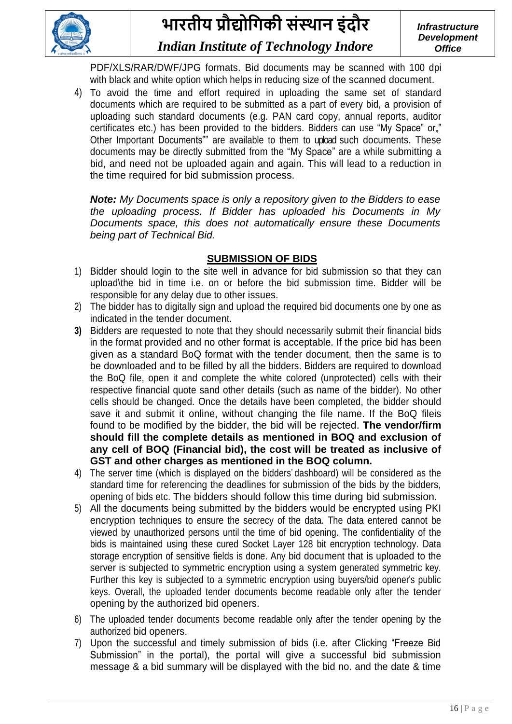

PDF/XLS/RAR/DWF/JPG formats. Bid documents may be scanned with 100 dpi with black and white option which helps in reducing size of the scanned document.

4) To avoid the time and effort required in uploading the same set of standard documents which are required to be submitted as a part of every bid, a provision of uploading such standard documents (e.g. PAN card copy, annual reports, auditor certificates etc.) has been provided to the bidders. Bidders can use "My Space" or." Other Important Documents"" are available to them to upload such documents. These documents may be directly submitted from the "My Space" are a while submitting a bid, and need not be uploaded again and again. This will lead to a reduction in the time required for bid submission process.

*Note: My Documents space is only a repository given to the Bidders to ease the uploading process. If Bidder has uploaded his Documents in My Documents space, this does not automatically ensure these Documents being part of Technical Bid.*

### **SUBMISSION OF BIDS**

- 1) Bidder should login to the site well in advance for bid submission so that they can upload\the bid in time i.e. on or before the bid submission time. Bidder will be responsible for any delay due to other issues.
- 2) The bidder has to digitally sign and upload the required bid documents one by one as indicated in the tender document.
- **3)** Bidders are requested to note that they should necessarily submit their financial bids in the format provided and no other format is acceptable. If the price bid has been given as a standard BoQ format with the tender document, then the same is to be downloaded and to be filled by all the bidders. Bidders are required to download the BoQ file, open it and complete the white colored (unprotected) cells with their respective financial quote sand other details (such as name of the bidder). No other cells should be changed. Once the details have been completed, the bidder should save it and submit it online, without changing the file name. If the BoQ fileis found to be modified by the bidder, the bid will be rejected. **The vendor/firm should fill the complete details as mentioned in BOQ and exclusion of any cell of BOQ (Financial bid), the cost will be treated as inclusive of GST and other charges as mentioned in the BOQ column.**
- 4) The server time (which is displayed on the bidders" dashboard) will be considered as the standard time for referencing the deadlines for submission of the bids by the bidders, opening of bids etc. The bidders should follow this time during bid submission.
- 5) All the documents being submitted by the bidders would be encrypted using PKI encryption techniques to ensure the secrecy of the data. The data entered cannot be viewed by unauthorized persons until the time of bid opening. The confidentiality of the bids is maintained using these cured Socket Layer 128 bit encryption technology. Data storage encryption of sensitive fields is done. Any bid document that is uploaded to the server is subjected to symmetric encryption using a system generated symmetric key. Further this key is subjected to a symmetric encryption using buyers/bid opener"s public keys. Overall, the uploaded tender documents become readable only after the tender opening by the authorized bid openers.
- 6) The uploaded tender documents become readable only after the tender opening by the authorized bid openers.
- 7) Upon the successful and timely submission of bids (i.e. after Clicking "Freeze Bid Submission" in the portal), the portal will give a successful bid submission message & a bid summary will be displayed with the bid no. and the date & time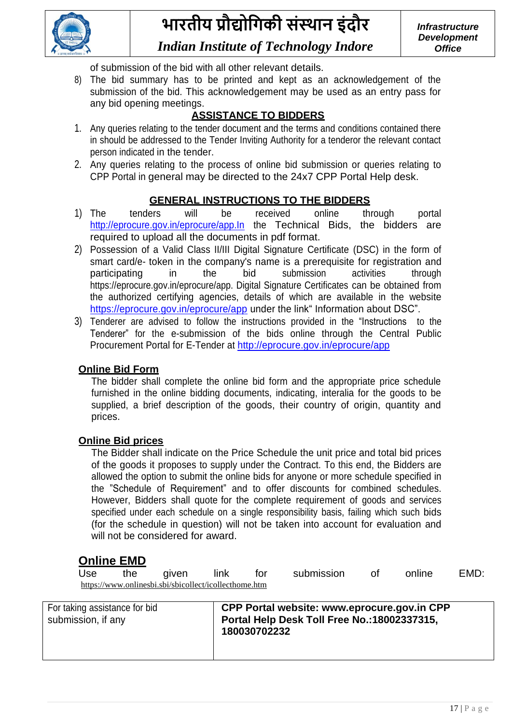

of submission of the bid with all other relevant details.

8) The bid summary has to be printed and kept as an acknowledgement of the submission of the bid. This acknowledgement may be used as an entry pass for any bid opening meetings.

### **ASSISTANCE TO BIDDERS**

- 1. Any queries relating to the tender document and the terms and conditions contained there in should be addressed to the Tender Inviting Authority for a tenderor the relevant contact person indicated in the tender.
- 2. Any queries relating to the process of online bid submission or queries relating to CPP Portal in general may be directed to the 24x7 CPP Portal Help desk.

### **GENERAL INSTRUCTIONS TO THE BIDDERS**

- 1) The tenders will be received online through portal http://eprocure.gov.in/eprocure/app.ln the Technical Bids, the bidders are required to upload all the documents in pdf format.
- 2) Possession of a Valid Class II/III Digital Signature Certificate (DSC) in the form of smart card/e- token in the company's name is a prerequisite for registration and participating in the bid submission activities through https://eprocure.gov.in/eprocure/app. Digital Signature Certificates can be obtained from the authorized certifying agencies, details of which are available in the website <https://eprocure.gov.in/eprocure/app> under the link" Information about DSC".
- 3) Tenderer are advised to follow the instructions provided in the "Instructions to the Tenderer" for the e-submission of the bids online through the Central Public Procurement Portal for E-Tender at <http://eprocure.gov.in/eprocure/app>

#### **Online Bid Form**

The bidder shall complete the online bid form and the appropriate price schedule furnished in the online bidding documents, indicating, interalia for the goods to be supplied, a brief description of the goods, their country of origin, quantity and prices.

#### **Online Bid prices**

The Bidder shall indicate on the Price Schedule the unit price and total bid prices of the goods it proposes to supply under the Contract. To this end, the Bidders are allowed the option to submit the online bids for anyone or more schedule specified in the "Schedule of Requirement" and to offer discounts for combined schedules. However, Bidders shall quote for the complete requirement of goods and services specified under each schedule on a single responsibility basis, failing which such bids (for the schedule in question) will not be taken into account for evaluation and will not be considered for award.

### **Online EMD**

Use the given link for submission of online EMD: <https://www.onlinesbi.sbi/sbicollect/icollecthome.htm>

| For taking assistance for bid<br>submission, if any | CPP Portal website: www.eprocure.gov.in CPP<br>Portal Help Desk Toll Free No.: 18002337315,<br>180030702232 |
|-----------------------------------------------------|-------------------------------------------------------------------------------------------------------------|
|                                                     |                                                                                                             |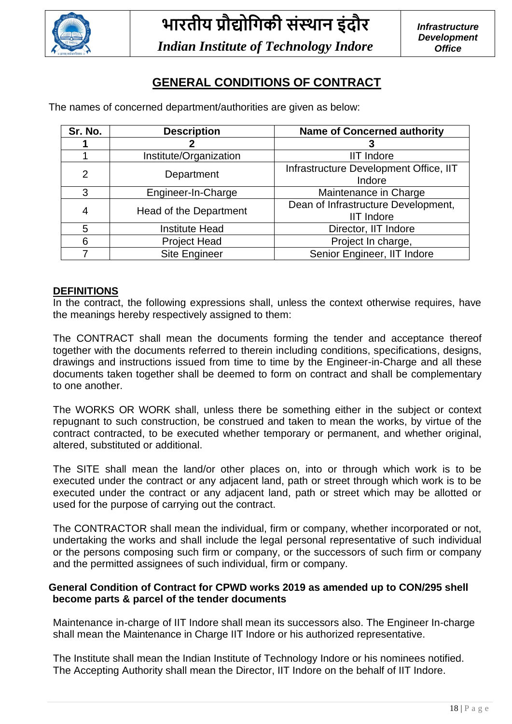

### **GENERAL CONDITIONS OF CONTRACT**

The names of concerned department/authorities are given as below:

| Sr. No.        | <b>Description</b>     | <b>Name of Concerned authority</b>                       |
|----------------|------------------------|----------------------------------------------------------|
|                |                        |                                                          |
|                | Institute/Organization | <b>IIT Indore</b>                                        |
| $\overline{2}$ | Department             | Infrastructure Development Office, IIT<br>Indore         |
| 3              | Engineer-In-Charge     | Maintenance in Charge                                    |
| 4              | Head of the Department | Dean of Infrastructure Development,<br><b>IIT Indore</b> |
| 5              | <b>Institute Head</b>  | Director, IIT Indore                                     |
| 6              | <b>Project Head</b>    | Project In charge,                                       |
|                | <b>Site Engineer</b>   | Senior Engineer, IIT Indore                              |

#### **DEFINITIONS**

In the contract, the following expressions shall, unless the context otherwise requires, have the meanings hereby respectively assigned to them:

The CONTRACT shall mean the documents forming the tender and acceptance thereof together with the documents referred to therein including conditions, specifications, designs, drawings and instructions issued from time to time by the Engineer-in-Charge and all these documents taken together shall be deemed to form on contract and shall be complementary to one another.

The WORKS OR WORK shall, unless there be something either in the subject or context repugnant to such construction, be construed and taken to mean the works, by virtue of the contract contracted, to be executed whether temporary or permanent, and whether original, altered, substituted or additional.

The SITE shall mean the land/or other places on, into or through which work is to be executed under the contract or any adjacent land, path or street through which work is to be executed under the contract or any adjacent land, path or street which may be allotted or used for the purpose of carrying out the contract.

The CONTRACTOR shall mean the individual, firm or company, whether incorporated or not, undertaking the works and shall include the legal personal representative of such individual or the persons composing such firm or company, or the successors of such firm or company and the permitted assignees of such individual, firm or company.

#### **General Condition of Contract for CPWD works 2019 as amended up to CON/295 shell become parts & parcel of the tender documents**

Maintenance in-charge of IIT Indore shall mean its successors also. The Engineer In-charge shall mean the Maintenance in Charge IIT Indore or his authorized representative.

The Institute shall mean the Indian Institute of Technology Indore or his nominees notified. The Accepting Authority shall mean the Director, IIT Indore on the behalf of IIT Indore.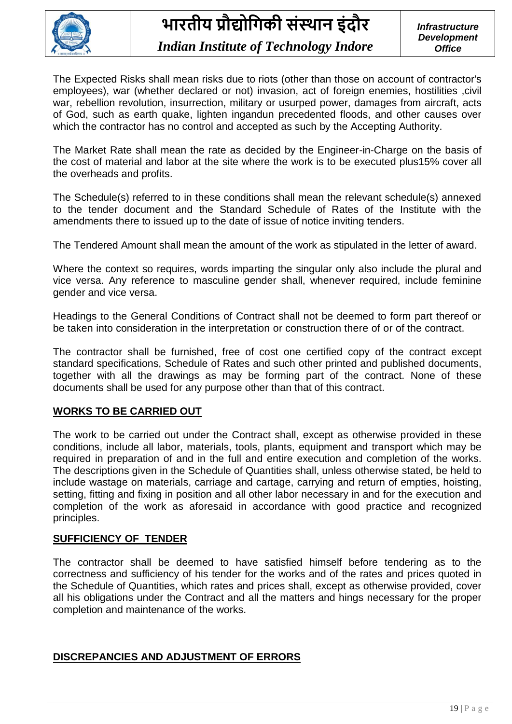

The Expected Risks shall mean risks due to riots (other than those on account of contractor's employees), war (whether declared or not) invasion, act of foreign enemies, hostilities ,civil war, rebellion revolution, insurrection, military or usurped power, damages from aircraft, acts of God, such as earth quake, lighten ingandun precedented floods, and other causes over which the contractor has no control and accepted as such by the Accepting Authority.

The Market Rate shall mean the rate as decided by the Engineer-in-Charge on the basis of the cost of material and labor at the site where the work is to be executed plus15% cover all the overheads and profits.

The Schedule(s) referred to in these conditions shall mean the relevant schedule(s) annexed to the tender document and the Standard Schedule of Rates of the Institute with the amendments there to issued up to the date of issue of notice inviting tenders.

The Tendered Amount shall mean the amount of the work as stipulated in the letter of award.

Where the context so requires, words imparting the singular only also include the plural and vice versa. Any reference to masculine gender shall, whenever required, include feminine gender and vice versa.

Headings to the General Conditions of Contract shall not be deemed to form part thereof or be taken into consideration in the interpretation or construction there of or of the contract.

The contractor shall be furnished, free of cost one certified copy of the contract except standard specifications, Schedule of Rates and such other printed and published documents, together with all the drawings as may be forming part of the contract. None of these documents shall be used for any purpose other than that of this contract.

### **WORKS TO BE CARRIED OUT**

The work to be carried out under the Contract shall, except as otherwise provided in these conditions, include all labor, materials, tools, plants, equipment and transport which may be required in preparation of and in the full and entire execution and completion of the works. The descriptions given in the Schedule of Quantities shall, unless otherwise stated, be held to include wastage on materials, carriage and cartage, carrying and return of empties, hoisting, setting, fitting and fixing in position and all other labor necessary in and for the execution and completion of the work as aforesaid in accordance with good practice and recognized principles.

### **SUFFICIENCY OF TENDER**

The contractor shall be deemed to have satisfied himself before tendering as to the correctness and sufficiency of his tender for the works and of the rates and prices quoted in the Schedule of Quantities, which rates and prices shall, except as otherwise provided, cover all his obligations under the Contract and all the matters and hings necessary for the proper completion and maintenance of the works.

### **DISCREPANCIES AND ADJUSTMENT OF ERRORS**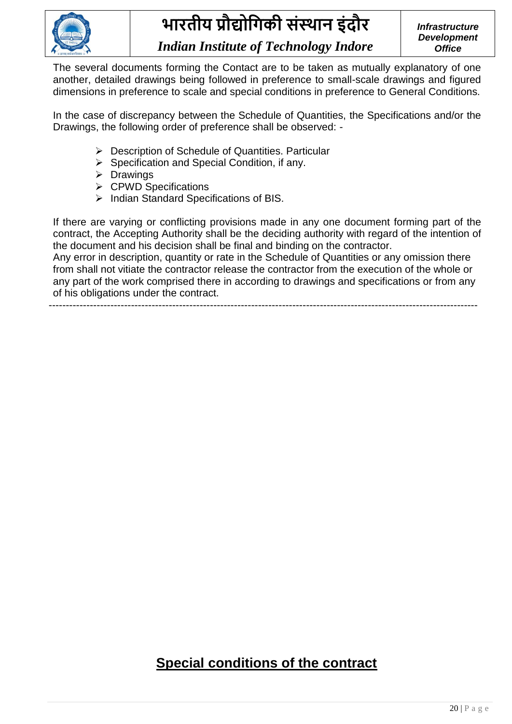

The several documents forming the Contact are to be taken as mutually explanatory of one another, detailed drawings being followed in preference to small-scale drawings and figured dimensions in preference to scale and special conditions in preference to General Conditions.

In the case of discrepancy between the Schedule of Quantities, the Specifications and/or the Drawings, the following order of preference shall be observed: -

- ➢ Description of Schedule of Quantities. Particular
- ➢ Specification and Special Condition, if any.
- ➢ Drawings
- ➢ CPWD Specifications
- ➢ Indian Standard Specifications of BIS.

If there are varying or conflicting provisions made in any one document forming part of the contract, the Accepting Authority shall be the deciding authority with regard of the intention of the document and his decision shall be final and binding on the contractor.

Any error in description, quantity or rate in the Schedule of Quantities or any omission there from shall not vitiate the contractor release the contractor from the execution of the whole or any part of the work comprised there in according to drawings and specifications or from any of his obligations under the contract.

-----------------------------------------------------------------------------------------------------------------------------

### **Special conditions of the contract**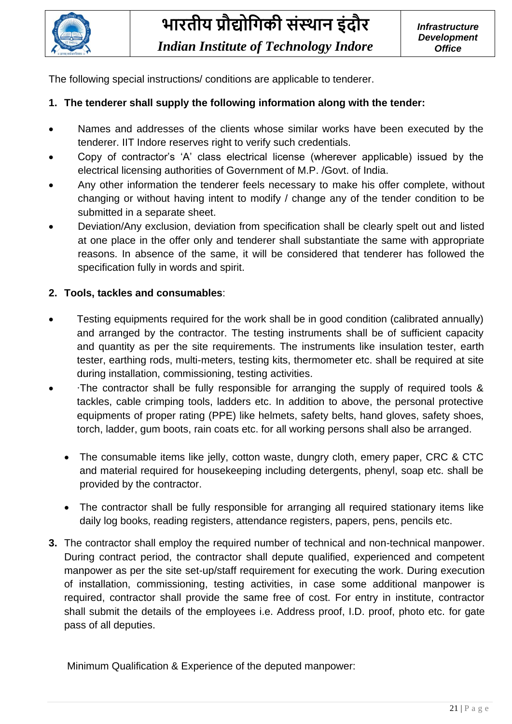

The following special instructions/ conditions are applicable to tenderer.

### **1. The tenderer shall supply the following information along with the tender:**

- Names and addresses of the clients whose similar works have been executed by the tenderer. IIT Indore reserves right to verify such credentials.
- Copy of contractor's 'A' class electrical license (wherever applicable) issued by the electrical licensing authorities of Government of M.P. /Govt. of India.
- Any other information the tenderer feels necessary to make his offer complete, without changing or without having intent to modify / change any of the tender condition to be submitted in a separate sheet.
- Deviation/Any exclusion, deviation from specification shall be clearly spelt out and listed at one place in the offer only and tenderer shall substantiate the same with appropriate reasons. In absence of the same, it will be considered that tenderer has followed the specification fully in words and spirit.

### **2. Tools, tackles and consumables**:

- Testing equipments required for the work shall be in good condition (calibrated annually) and arranged by the contractor. The testing instruments shall be of sufficient capacity and quantity as per the site requirements. The instruments like insulation tester, earth tester, earthing rods, multi-meters, testing kits, thermometer etc. shall be required at site during installation, commissioning, testing activities.
- ∙The contractor shall be fully responsible for arranging the supply of required tools & tackles, cable crimping tools, ladders etc. In addition to above, the personal protective equipments of proper rating (PPE) like helmets, safety belts, hand gloves, safety shoes, torch, ladder, gum boots, rain coats etc. for all working persons shall also be arranged.
	- The consumable items like jelly, cotton waste, dungry cloth, emery paper, CRC & CTC and material required for housekeeping including detergents, phenyl, soap etc. shall be provided by the contractor.
	- The contractor shall be fully responsible for arranging all required stationary items like daily log books, reading registers, attendance registers, papers, pens, pencils etc.
- **3.** The contractor shall employ the required number of technical and non-technical manpower. During contract period, the contractor shall depute qualified, experienced and competent manpower as per the site set-up/staff requirement for executing the work. During execution of installation, commissioning, testing activities, in case some additional manpower is required, contractor shall provide the same free of cost. For entry in institute, contractor shall submit the details of the employees i.e. Address proof, I.D. proof, photo etc. for gate pass of all deputies.

Minimum Qualification & Experience of the deputed manpower: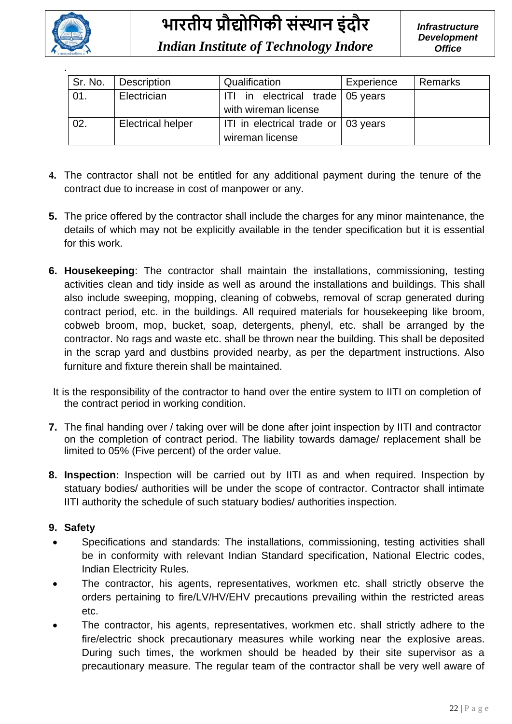

| Sr. No. | Description              | Qualification                       | Experience | <b>Remarks</b> |
|---------|--------------------------|-------------------------------------|------------|----------------|
| 01.     | Electrician              | ITI in electrical trade 05 years    |            |                |
|         |                          | with wireman license                |            |                |
| 02.     | <b>Electrical helper</b> | ITI in electrical trade or 03 years |            |                |
|         |                          | wireman license                     |            |                |

- **4.** The contractor shall not be entitled for any additional payment during the tenure of the contract due to increase in cost of manpower or any.
- **5.** The price offered by the contractor shall include the charges for any minor maintenance, the details of which may not be explicitly available in the tender specification but it is essential for this work.
- **6. Housekeeping**: The contractor shall maintain the installations, commissioning, testing activities clean and tidy inside as well as around the installations and buildings. This shall also include sweeping, mopping, cleaning of cobwebs, removal of scrap generated during contract period, etc. in the buildings. All required materials for housekeeping like broom, cobweb broom, mop, bucket, soap, detergents, phenyl, etc. shall be arranged by the contractor. No rags and waste etc. shall be thrown near the building. This shall be deposited in the scrap yard and dustbins provided nearby, as per the department instructions. Also furniture and fixture therein shall be maintained.
- It is the responsibility of the contractor to hand over the entire system to IITI on completion of the contract period in working condition.
- **7.** The final handing over / taking over will be done after joint inspection by IITI and contractor on the completion of contract period. The liability towards damage/ replacement shall be limited to 05% (Five percent) of the order value.
- **8. Inspection:** Inspection will be carried out by IITI as and when required. Inspection by statuary bodies/ authorities will be under the scope of contractor. Contractor shall intimate IITI authority the schedule of such statuary bodies/ authorities inspection.

### **9. Safety**

- Specifications and standards: The installations, commissioning, testing activities shall be in conformity with relevant Indian Standard specification, National Electric codes, Indian Electricity Rules.
- The contractor, his agents, representatives, workmen etc. shall strictly observe the orders pertaining to fire/LV/HV/EHV precautions prevailing within the restricted areas etc.
- The contractor, his agents, representatives, workmen etc. shall strictly adhere to the fire/electric shock precautionary measures while working near the explosive areas. During such times, the workmen should be headed by their site supervisor as a precautionary measure. The regular team of the contractor shall be very well aware of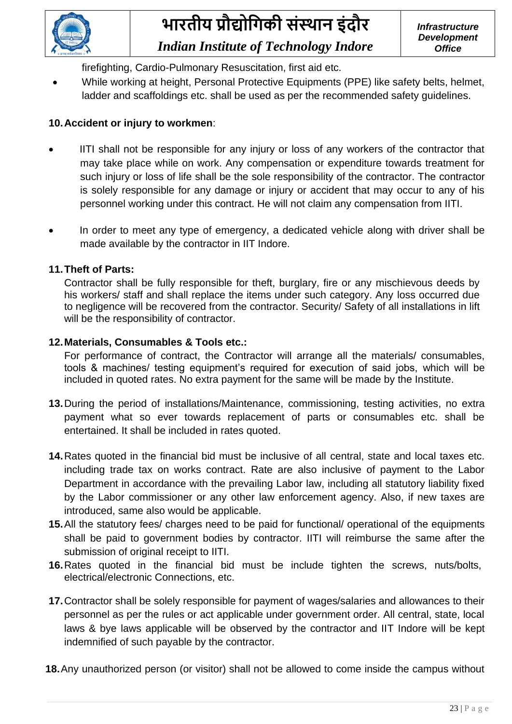

firefighting, Cardio-Pulmonary Resuscitation, first aid etc.

• While working at height, Personal Protective Equipments (PPE) like safety belts, helmet, ladder and scaffoldings etc. shall be used as per the recommended safety guidelines.

### **10.Accident or injury to workmen**:

- IITI shall not be responsible for any injury or loss of any workers of the contractor that may take place while on work. Any compensation or expenditure towards treatment for such injury or loss of life shall be the sole responsibility of the contractor. The contractor is solely responsible for any damage or injury or accident that may occur to any of his personnel working under this contract. He will not claim any compensation from IITI.
- In order to meet any type of emergency, a dedicated vehicle along with driver shall be made available by the contractor in IIT Indore.

### **11.Theft of Parts:**

Contractor shall be fully responsible for theft, burglary, fire or any mischievous deeds by his workers/ staff and shall replace the items under such category. Any loss occurred due to negligence will be recovered from the contractor. Security/ Safety of all installations in lift will be the responsibility of contractor.

### **12.Materials, Consumables & Tools etc.:**

For performance of contract, the Contractor will arrange all the materials/ consumables, tools & machines/ testing equipment's required for execution of said jobs, which will be included in quoted rates. No extra payment for the same will be made by the Institute.

- **13.**During the period of installations/Maintenance, commissioning, testing activities, no extra payment what so ever towards replacement of parts or consumables etc. shall be entertained. It shall be included in rates quoted.
- **14.**Rates quoted in the financial bid must be inclusive of all central, state and local taxes etc. including trade tax on works contract. Rate are also inclusive of payment to the Labor Department in accordance with the prevailing Labor law, including all statutory liability fixed by the Labor commissioner or any other law enforcement agency. Also, if new taxes are introduced, same also would be applicable.
- **15.**All the statutory fees/ charges need to be paid for functional/ operational of the equipments shall be paid to government bodies by contractor. IITI will reimburse the same after the submission of original receipt to IITI.
- **16.**Rates quoted in the financial bid must be include tighten the screws, nuts/bolts, electrical/electronic Connections, etc.
- **17.**Contractor shall be solely responsible for payment of wages/salaries and allowances to their personnel as per the rules or act applicable under government order. All central, state, local laws & bye laws applicable will be observed by the contractor and IIT Indore will be kept indemnified of such payable by the contractor.
- **18.**Any unauthorized person (or visitor) shall not be allowed to come inside the campus without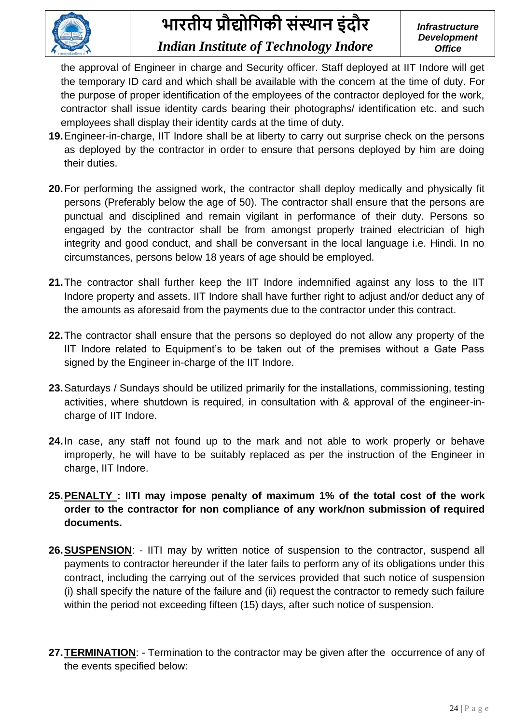

the approval of Engineer in charge and Security officer. Staff deployed at IIT Indore will get the temporary ID card and which shall be available with the concern at the time of duty. For the purpose of proper identification of the employees of the contractor deployed for the work, contractor shall issue identity cards bearing their photographs/ identification etc. and such employees shall display their identity cards at the time of duty.

- **19.**Engineer-in-charge, IIT Indore shall be at liberty to carry out surprise check on the persons as deployed by the contractor in order to ensure that persons deployed by him are doing their duties.
- **20.**For performing the assigned work, the contractor shall deploy medically and physically fit persons (Preferably below the age of 50). The contractor shall ensure that the persons are punctual and disciplined and remain vigilant in performance of their duty. Persons so engaged by the contractor shall be from amongst properly trained electrician of high integrity and good conduct, and shall be conversant in the local language i.e. Hindi. In no circumstances, persons below 18 years of age should be employed.
- **21.**The contractor shall further keep the IIT Indore indemnified against any loss to the IIT Indore property and assets. IIT Indore shall have further right to adjust and/or deduct any of the amounts as aforesaid from the payments due to the contractor under this contract.
- **22.**The contractor shall ensure that the persons so deployed do not allow any property of the IIT Indore related to Equipment's to be taken out of the premises without a Gate Pass signed by the Engineer in-charge of the IIT Indore.
- **23.**Saturdays / Sundays should be utilized primarily for the installations, commissioning, testing activities, where shutdown is required, in consultation with & approval of the engineer-incharge of IIT Indore.
- **24.**In case, any staff not found up to the mark and not able to work properly or behave improperly, he will have to be suitably replaced as per the instruction of the Engineer in charge, IIT Indore.
- **25.PENALTY : IITI may impose penalty of maximum 1% of the total cost of the work order to the contractor for non compliance of any work/non submission of required documents.**
- **26.SUSPENSION**: IITI may by written notice of suspension to the contractor, suspend all payments to contractor hereunder if the later fails to perform any of its obligations under this contract, including the carrying out of the services provided that such notice of suspension (i) shall specify the nature of the failure and (ii) request the contractor to remedy such failure within the period not exceeding fifteen (15) days, after such notice of suspension.
- **27.TERMINATION**: Termination to the contractor may be given after the occurrence of any of the events specified below: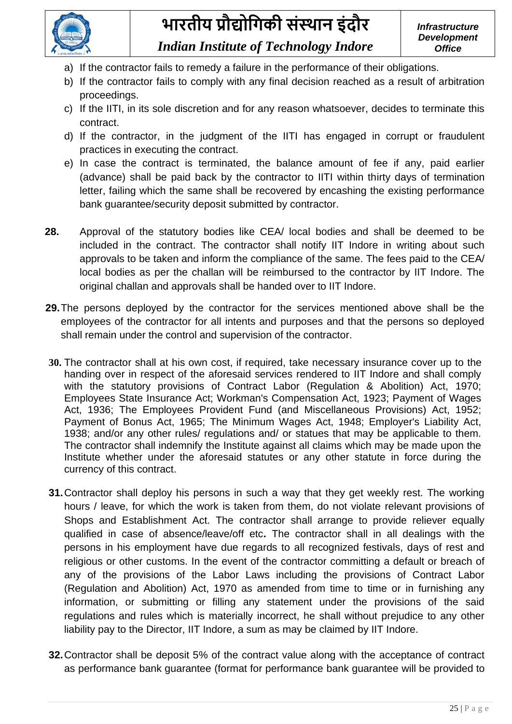

- a) If the contractor fails to remedy a failure in the performance of their obligations.
- b) If the contractor fails to comply with any final decision reached as a result of arbitration proceedings.
- c) If the IITI, in its sole discretion and for any reason whatsoever, decides to terminate this contract.
- d) If the contractor, in the judgment of the IITI has engaged in corrupt or fraudulent practices in executing the contract.
- e) In case the contract is terminated, the balance amount of fee if any, paid earlier (advance) shall be paid back by the contractor to IITI within thirty days of termination letter, failing which the same shall be recovered by encashing the existing performance bank guarantee/security deposit submitted by contractor.
- **28.** Approval of the statutory bodies like CEA/ local bodies and shall be deemed to be included in the contract. The contractor shall notify IIT Indore in writing about such approvals to be taken and inform the compliance of the same. The fees paid to the CEA/ local bodies as per the challan will be reimbursed to the contractor by IIT Indore. The original challan and approvals shall be handed over to IIT Indore.
- **29.**The persons deployed by the contractor for the services mentioned above shall be the employees of the contractor for all intents and purposes and that the persons so deployed shall remain under the control and supervision of the contractor.
- **30.** The contractor shall at his own cost, if required, take necessary insurance cover up to the handing over in respect of the aforesaid services rendered to IIT Indore and shall comply with the statutory provisions of Contract Labor (Regulation & Abolition) Act, 1970; Employees State Insurance Act; Workman's Compensation Act, 1923; Payment of Wages Act, 1936; The Employees Provident Fund (and Miscellaneous Provisions) Act, 1952; Payment of Bonus Act, 1965; The Minimum Wages Act, 1948; Employer's Liability Act, 1938; and/or any other rules/ regulations and/ or statues that may be applicable to them. The contractor shall indemnify the Institute against all claims which may be made upon the Institute whether under the aforesaid statutes or any other statute in force during the currency of this contract.
- **31.**Contractor shall deploy his persons in such a way that they get weekly rest. The working hours / leave, for which the work is taken from them, do not violate relevant provisions of Shops and Establishment Act. The contractor shall arrange to provide reliever equally qualified in case of absence/leave/off etc**.** The contractor shall in all dealings with the persons in his employment have due regards to all recognized festivals, days of rest and religious or other customs. In the event of the contractor committing a default or breach of any of the provisions of the Labor Laws including the provisions of Contract Labor (Regulation and Abolition) Act, 1970 as amended from time to time or in furnishing any information, or submitting or filling any statement under the provisions of the said regulations and rules which is materially incorrect, he shall without prejudice to any other liability pay to the Director, IIT Indore, a sum as may be claimed by IIT Indore.
- **32.**Contractor shall be deposit 5% of the contract value along with the acceptance of contract as performance bank guarantee (format for performance bank guarantee will be provided to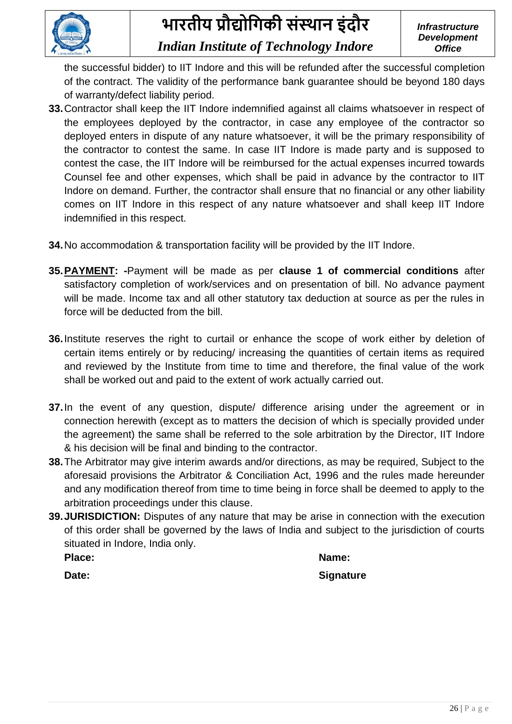

the successful bidder) to IIT Indore and this will be refunded after the successful completion of the contract. The validity of the performance bank guarantee should be beyond 180 days of warranty/defect liability period.

- **33.**Contractor shall keep the IIT Indore indemnified against all claims whatsoever in respect of the employees deployed by the contractor, in case any employee of the contractor so deployed enters in dispute of any nature whatsoever, it will be the primary responsibility of the contractor to contest the same. In case IIT Indore is made party and is supposed to contest the case, the IIT Indore will be reimbursed for the actual expenses incurred towards Counsel fee and other expenses, which shall be paid in advance by the contractor to IIT Indore on demand. Further, the contractor shall ensure that no financial or any other liability comes on IIT Indore in this respect of any nature whatsoever and shall keep IIT Indore indemnified in this respect.
- **34.**No accommodation & transportation facility will be provided by the IIT Indore.
- **35.PAYMENT: -**Payment will be made as per **clause 1 of commercial conditions** after satisfactory completion of work/services and on presentation of bill. No advance payment will be made. Income tax and all other statutory tax deduction at source as per the rules in force will be deducted from the bill.
- **36.**Institute reserves the right to curtail or enhance the scope of work either by deletion of certain items entirely or by reducing/ increasing the quantities of certain items as required and reviewed by the Institute from time to time and therefore, the final value of the work shall be worked out and paid to the extent of work actually carried out.
- **37.**In the event of any question, dispute/ difference arising under the agreement or in connection herewith (except as to matters the decision of which is specially provided under the agreement) the same shall be referred to the sole arbitration by the Director, IIT Indore & his decision will be final and binding to the contractor.
- **38.**The Arbitrator may give interim awards and/or directions, as may be required, Subject to the aforesaid provisions the Arbitrator & Conciliation Act, 1996 and the rules made hereunder and any modification thereof from time to time being in force shall be deemed to apply to the arbitration proceedings under this clause.
- **39.JURISDICTION:** Disputes of any nature that may be arise in connection with the execution of this order shall be governed by the laws of India and subject to the jurisdiction of courts situated in Indore, India only.

**Place: Name:**

**Date:** Signature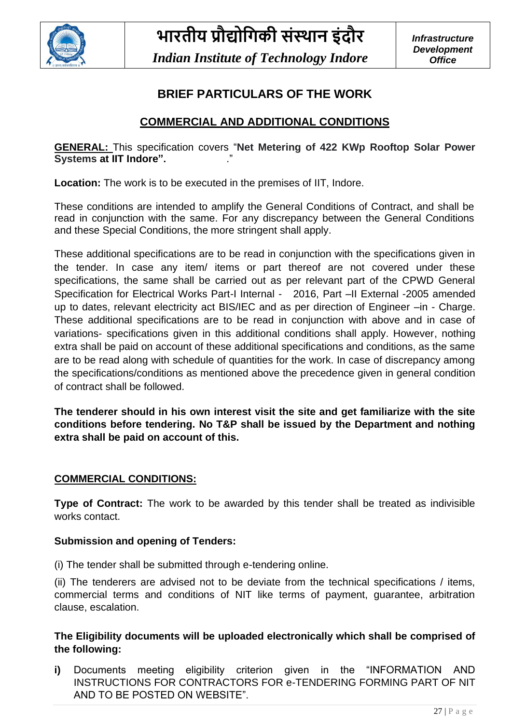

### **BRIEF PARTICULARS OF THE WORK**

### **COMMERCIAL AND ADDITIONAL CONDITIONS**

**GENERAL:** This specification covers "**Net Metering of 422 KWp Rooftop Solar Power Systems at IIT Indore".** 

**Location:** The work is to be executed in the premises of IIT, Indore.

These conditions are intended to amplify the General Conditions of Contract, and shall be read in conjunction with the same. For any discrepancy between the General Conditions and these Special Conditions, the more stringent shall apply.

These additional specifications are to be read in conjunction with the specifications given in the tender. In case any item/ items or part thereof are not covered under these specifications, the same shall be carried out as per relevant part of the CPWD General Specification for Electrical Works Part-I Internal - 2016, Part -II External -2005 amended up to dates, relevant electricity act BIS/IEC and as per direction of Engineer –in - Charge. These additional specifications are to be read in conjunction with above and in case of variations- specifications given in this additional conditions shall apply. However, nothing extra shall be paid on account of these additional specifications and conditions, as the same are to be read along with schedule of quantities for the work. In case of discrepancy among the specifications/conditions as mentioned above the precedence given in general condition of contract shall be followed.

**The tenderer should in his own interest visit the site and get familiarize with the site conditions before tendering. No T&P shall be issued by the Department and nothing extra shall be paid on account of this.**

### **COMMERCIAL CONDITIONS:**

**Type of Contract:** The work to be awarded by this tender shall be treated as indivisible works contact.

#### **Submission and opening of Tenders:**

(i) The tender shall be submitted through e-tendering online.

(ii) The tenderers are advised not to be deviate from the technical specifications / items, commercial terms and conditions of NIT like terms of payment, guarantee, arbitration clause, escalation.

### **The Eligibility documents will be uploaded electronically which shall be comprised of the following:**

**i)** Documents meeting eligibility criterion given in the "INFORMATION AND INSTRUCTIONS FOR CONTRACTORS FOR e-TENDERING FORMING PART OF NIT AND TO BE POSTED ON WEBSITE".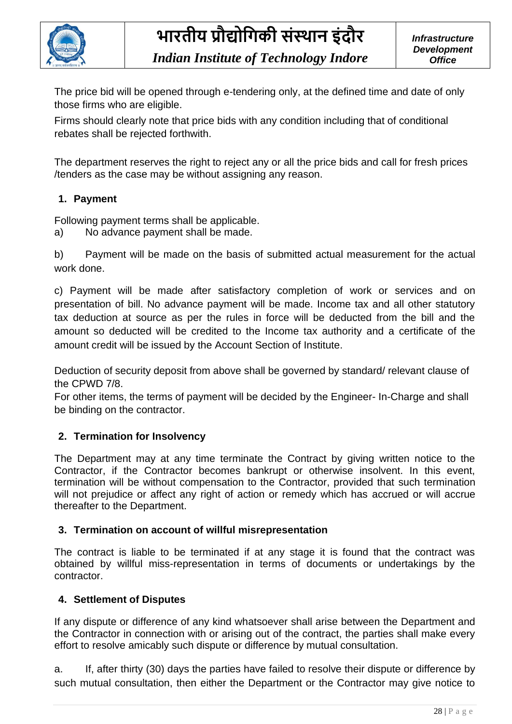

The price bid will be opened through e-tendering only, at the defined time and date of only those firms who are eligible.

Firms should clearly note that price bids with any condition including that of conditional rebates shall be rejected forthwith.

The department reserves the right to reject any or all the price bids and call for fresh prices /tenders as the case may be without assigning any reason.

### **1. Payment**

Following payment terms shall be applicable.

a) No advance payment shall be made.

b) Payment will be made on the basis of submitted actual measurement for the actual work done.

c) Payment will be made after satisfactory completion of work or services and on presentation of bill. No advance payment will be made. Income tax and all other statutory tax deduction at source as per the rules in force will be deducted from the bill and the amount so deducted will be credited to the Income tax authority and a certificate of the amount credit will be issued by the Account Section of Institute.

Deduction of security deposit from above shall be governed by standard/ relevant clause of the CPWD 7/8.

For other items, the terms of payment will be decided by the Engineer- In-Charge and shall be binding on the contractor.

### **2. Termination for Insolvency**

The Department may at any time terminate the Contract by giving written notice to the Contractor, if the Contractor becomes bankrupt or otherwise insolvent. In this event, termination will be without compensation to the Contractor, provided that such termination will not prejudice or affect any right of action or remedy which has accrued or will accrue thereafter to the Department.

### **3. Termination on account of willful misrepresentation**

The contract is liable to be terminated if at any stage it is found that the contract was obtained by willful miss-representation in terms of documents or undertakings by the contractor.

### **4. Settlement of Disputes**

If any dispute or difference of any kind whatsoever shall arise between the Department and the Contractor in connection with or arising out of the contract, the parties shall make every effort to resolve amicably such dispute or difference by mutual consultation.

a. If, after thirty (30) days the parties have failed to resolve their dispute or difference by such mutual consultation, then either the Department or the Contractor may give notice to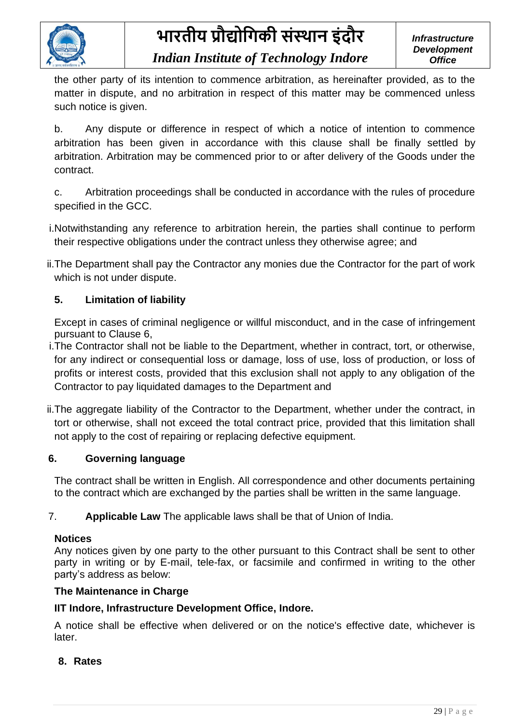

### *Indian Institute of Technology Indore*

the other party of its intention to commence arbitration, as hereinafter provided, as to the matter in dispute, and no arbitration in respect of this matter may be commenced unless such notice is given.

b. Any dispute or difference in respect of which a notice of intention to commence arbitration has been given in accordance with this clause shall be finally settled by arbitration. Arbitration may be commenced prior to or after delivery of the Goods under the contract.

c. Arbitration proceedings shall be conducted in accordance with the rules of procedure specified in the GCC.

- i.Notwithstanding any reference to arbitration herein, the parties shall continue to perform their respective obligations under the contract unless they otherwise agree; and
- ii.The Department shall pay the Contractor any monies due the Contractor for the part of work which is not under dispute.

### **5. Limitation of liability**

Except in cases of criminal negligence or willful misconduct, and in the case of infringement pursuant to Clause 6,

- i.The Contractor shall not be liable to the Department, whether in contract, tort, or otherwise, for any indirect or consequential loss or damage, loss of use, loss of production, or loss of profits or interest costs, provided that this exclusion shall not apply to any obligation of the Contractor to pay liquidated damages to the Department and
- ii.The aggregate liability of the Contractor to the Department, whether under the contract, in tort or otherwise, shall not exceed the total contract price, provided that this limitation shall not apply to the cost of repairing or replacing defective equipment.

### **6. Governing language**

The contract shall be written in English. All correspondence and other documents pertaining to the contract which are exchanged by the parties shall be written in the same language.

7. **Applicable Law** The applicable laws shall be that of Union of India.

### **Notices**

Any notices given by one party to the other pursuant to this Contract shall be sent to other party in writing or by E-mail, tele-fax, or facsimile and confirmed in writing to the other party's address as below:

#### **The Maintenance in Charge**

### **IIT Indore, Infrastructure Development Office, Indore.**

A notice shall be effective when delivered or on the notice's effective date, whichever is later.

### **8. Rates**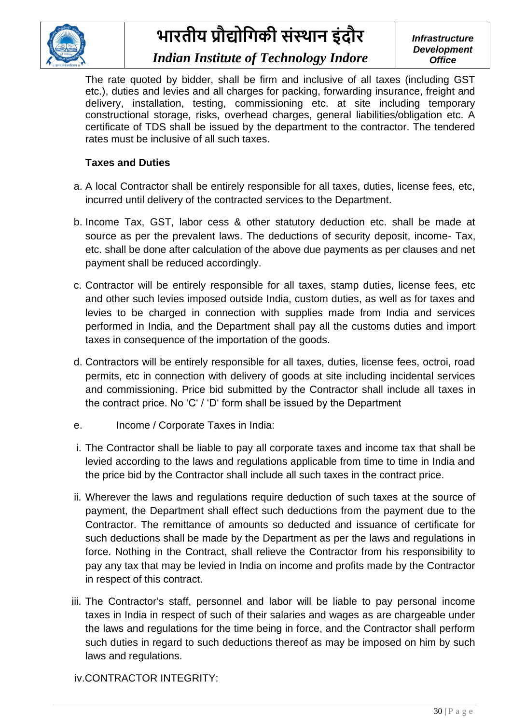

### *Indian Institute of Technology Indore*

*Infrastructure Development Office*

The rate quoted by bidder, shall be firm and inclusive of all taxes (including GST etc.), duties and levies and all charges for packing, forwarding insurance, freight and delivery, installation, testing, commissioning etc. at site including temporary constructional storage, risks, overhead charges, general liabilities/obligation etc. A certificate of TDS shall be issued by the department to the contractor. The tendered rates must be inclusive of all such taxes.

### **Taxes and Duties**

- a. A local Contractor shall be entirely responsible for all taxes, duties, license fees, etc, incurred until delivery of the contracted services to the Department.
- b. Income Tax, GST, labor cess & other statutory deduction etc. shall be made at source as per the prevalent laws. The deductions of security deposit, income- Tax, etc. shall be done after calculation of the above due payments as per clauses and net payment shall be reduced accordingly.
- c. Contractor will be entirely responsible for all taxes, stamp duties, license fees, etc and other such levies imposed outside India, custom duties, as well as for taxes and levies to be charged in connection with supplies made from India and services performed in India, and the Department shall pay all the customs duties and import taxes in consequence of the importation of the goods.
- d. Contractors will be entirely responsible for all taxes, duties, license fees, octroi, road permits, etc in connection with delivery of goods at site including incidental services and commissioning. Price bid submitted by the Contractor shall include all taxes in the contract price. No 'C' / 'D' form shall be issued by the Department
- e. Income / Corporate Taxes in India:
- i. The Contractor shall be liable to pay all corporate taxes and income tax that shall be levied according to the laws and regulations applicable from time to time in India and the price bid by the Contractor shall include all such taxes in the contract price.
- ii. Wherever the laws and regulations require deduction of such taxes at the source of payment, the Department shall effect such deductions from the payment due to the Contractor. The remittance of amounts so deducted and issuance of certificate for such deductions shall be made by the Department as per the laws and regulations in force. Nothing in the Contract, shall relieve the Contractor from his responsibility to pay any tax that may be levied in India on income and profits made by the Contractor in respect of this contract.
- iii. The Contractor's staff, personnel and labor will be liable to pay personal income taxes in India in respect of such of their salaries and wages as are chargeable under the laws and regulations for the time being in force, and the Contractor shall perform such duties in regard to such deductions thereof as may be imposed on him by such laws and regulations.

iv.CONTRACTOR INTEGRITY: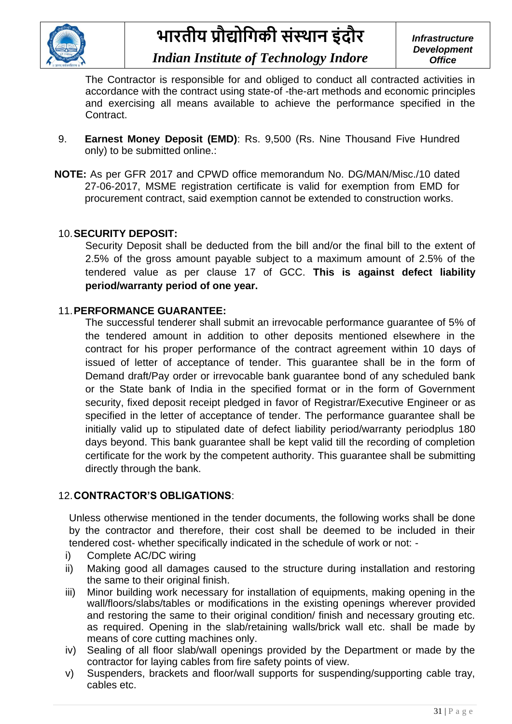

The Contractor is responsible for and obliged to conduct all contracted activities in accordance with the contract using state-of -the-art methods and economic principles and exercising all means available to achieve the performance specified in the Contract.

- 9. **Earnest Money Deposit (EMD)**: Rs. 9,500 (Rs. Nine Thousand Five Hundred only) to be submitted online.:
- **NOTE:** As per GFR 2017 and CPWD office memorandum No. DG/MAN/Misc./10 dated 27-06-2017, MSME registration certificate is valid for exemption from EMD for procurement contract, said exemption cannot be extended to construction works.

### 10.**SECURITY DEPOSIT:**

Security Deposit shall be deducted from the bill and/or the final bill to the extent of 2.5% of the gross amount payable subject to a maximum amount of 2.5% of the tendered value as per clause 17 of GCC. **This is against defect liability period/warranty period of one year.**

### 11.**PERFORMANCE GUARANTEE:**

The successful tenderer shall submit an irrevocable performance guarantee of 5% of the tendered amount in addition to other deposits mentioned elsewhere in the contract for his proper performance of the contract agreement within 10 days of issued of letter of acceptance of tender. This guarantee shall be in the form of Demand draft/Pay order or irrevocable bank guarantee bond of any scheduled bank or the State bank of India in the specified format or in the form of Government security, fixed deposit receipt pledged in favor of Registrar/Executive Engineer or as specified in the letter of acceptance of tender. The performance guarantee shall be initially valid up to stipulated date of defect liability period/warranty periodplus 180 days beyond. This bank guarantee shall be kept valid till the recording of completion certificate for the work by the competent authority. This guarantee shall be submitting directly through the bank.

### 12.**CONTRACTOR'S OBLIGATIONS**:

Unless otherwise mentioned in the tender documents, the following works shall be done by the contractor and therefore, their cost shall be deemed to be included in their tendered cost- whether specifically indicated in the schedule of work or not: -

- i) Complete AC/DC wiring
- ii) Making good all damages caused to the structure during installation and restoring the same to their original finish.
- iii) Minor building work necessary for installation of equipments, making opening in the wall/floors/slabs/tables or modifications in the existing openings wherever provided and restoring the same to their original condition/ finish and necessary grouting etc. as required. Opening in the slab/retaining walls/brick wall etc. shall be made by means of core cutting machines only.
- iv) Sealing of all floor slab/wall openings provided by the Department or made by the contractor for laying cables from fire safety points of view.
- v) Suspenders, brackets and floor/wall supports for suspending/supporting cable tray, cables etc.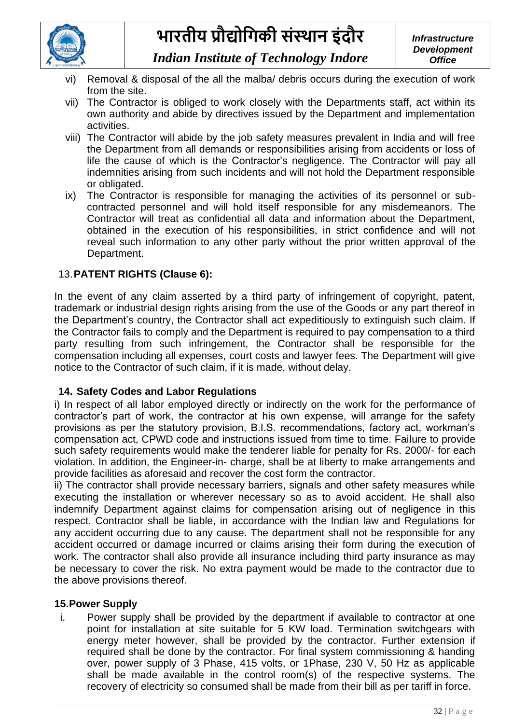

- *Indian Institute of Technology Indore*
- Removal & disposal of the all the malba/ debris occurs during the execution of work from the site.
- vii) The Contractor is obliged to work closely with the Departments staff, act within its own authority and abide by directives issued by the Department and implementation activities.
- viii) The Contractor will abide by the job safety measures prevalent in India and will free the Department from all demands or responsibilities arising from accidents or loss of life the cause of which is the Contractor's negligence. The Contractor will pay all indemnities arising from such incidents and will not hold the Department responsible or obligated.
- ix) The Contractor is responsible for managing the activities of its personnel or subcontracted personnel and will hold itself responsible for any misdemeanors. The Contractor will treat as confidential all data and information about the Department, obtained in the execution of his responsibilities, in strict confidence and will not reveal such information to any other party without the prior written approval of the Department.

### 13.**PATENT RIGHTS (Clause 6):**

In the event of any claim asserted by a third party of infringement of copyright, patent, trademark or industrial design rights arising from the use of the Goods or any part thereof in the Department's country, the Contractor shall act expeditiously to extinguish such claim. If the Contractor fails to comply and the Department is required to pay compensation to a third party resulting from such infringement, the Contractor shall be responsible for the compensation including all expenses, court costs and lawyer fees. The Department will give notice to the Contractor of such claim, if it is made, without delay.

### **14. Safety Codes and Labor Regulations**

i) In respect of all labor employed directly or indirectly on the work for the performance of contractor's part of work, the contractor at his own expense, will arrange for the safety provisions as per the statutory provision, B.I.S. recommendations, factory act, workman's compensation act, CPWD code and instructions issued from time to time. Failure to provide such safety requirements would make the tenderer liable for penalty for Rs. 2000/- for each violation. In addition, the Engineer-in- charge, shall be at liberty to make arrangements and provide facilities as aforesaid and recover the cost form the contractor.

ii) The contractor shall provide necessary barriers, signals and other safety measures while executing the installation or wherever necessary so as to avoid accident. He shall also indemnify Department against claims for compensation arising out of negligence in this respect. Contractor shall be liable, in accordance with the Indian law and Regulations for any accident occurring due to any cause. The department shall not be responsible for any accident occurred or damage incurred or claims arising their form during the execution of work. The contractor shall also provide all insurance including third party insurance as may be necessary to cover the risk. No extra payment would be made to the contractor due to the above provisions thereof.

### **15.Power Supply**

i. Power supply shall be provided by the department if available to contractor at one point for installation at site suitable for 5 KW load. Termination switchgears with energy meter however, shall be provided by the contractor. Further extension if required shall be done by the contractor. For final system commissioning & handing over, power supply of 3 Phase, 415 volts, or 1Phase, 230 V, 50 Hz as applicable shall be made available in the control room(s) of the respective systems. The recovery of electricity so consumed shall be made from their bill as per tariff in force.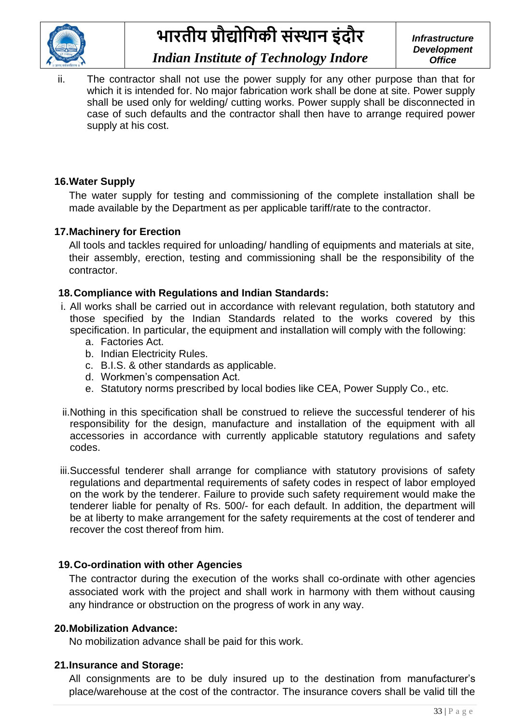

### *Indian Institute of Technology Indore*

*Infrastructure Development Office*

ii. The contractor shall not use the power supply for any other purpose than that for which it is intended for. No major fabrication work shall be done at site. Power supply shall be used only for welding/ cutting works. Power supply shall be disconnected in case of such defaults and the contractor shall then have to arrange required power supply at his cost.

### **16.Water Supply**

The water supply for testing and commissioning of the complete installation shall be made available by the Department as per applicable tariff/rate to the contractor.

### **17.Machinery for Erection**

All tools and tackles required for unloading/ handling of equipments and materials at site, their assembly, erection, testing and commissioning shall be the responsibility of the contractor.

### **18.Compliance with Regulations and Indian Standards:**

- i. All works shall be carried out in accordance with relevant regulation, both statutory and those specified by the Indian Standards related to the works covered by this specification. In particular, the equipment and installation will comply with the following:
	- a. Factories Act.
	- b. Indian Electricity Rules.
	- c. B.I.S. & other standards as applicable.
	- d. Workmen's compensation Act.
	- e. Statutory norms prescribed by local bodies like CEA, Power Supply Co., etc.
- ii.Nothing in this specification shall be construed to relieve the successful tenderer of his responsibility for the design, manufacture and installation of the equipment with all accessories in accordance with currently applicable statutory regulations and safety codes.
- iii.Successful tenderer shall arrange for compliance with statutory provisions of safety regulations and departmental requirements of safety codes in respect of labor employed on the work by the tenderer. Failure to provide such safety requirement would make the tenderer liable for penalty of Rs. 500/- for each default. In addition, the department will be at liberty to make arrangement for the safety requirements at the cost of tenderer and recover the cost thereof from him.

#### **19.Co-ordination with other Agencies**

The contractor during the execution of the works shall co-ordinate with other agencies associated work with the project and shall work in harmony with them without causing any hindrance or obstruction on the progress of work in any way.

#### **20.Mobilization Advance:**

No mobilization advance shall be paid for this work.

#### **21.Insurance and Storage:**

All consignments are to be duly insured up to the destination from manufacturer's place/warehouse at the cost of the contractor. The insurance covers shall be valid till the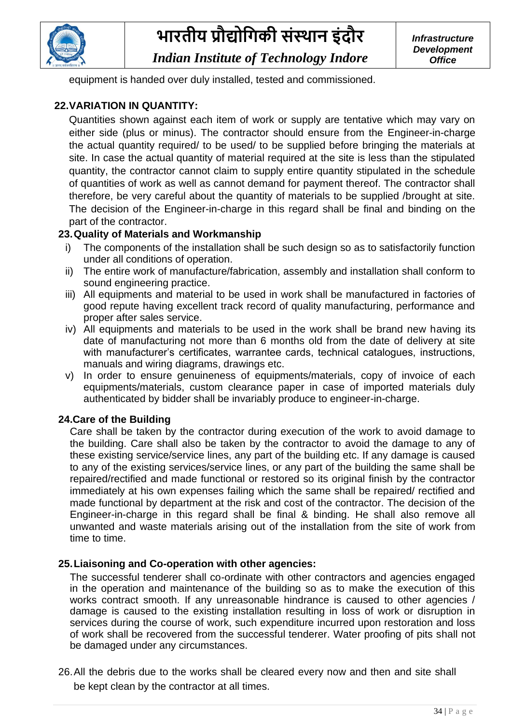

*Indian Institute of Technology Indore*

equipment is handed over duly installed, tested and commissioned.

### **22.VARIATION IN QUANTITY:**

Quantities shown against each item of work or supply are tentative which may vary on either side (plus or minus). The contractor should ensure from the Engineer-in-charge the actual quantity required/ to be used/ to be supplied before bringing the materials at site. In case the actual quantity of material required at the site is less than the stipulated quantity, the contractor cannot claim to supply entire quantity stipulated in the schedule of quantities of work as well as cannot demand for payment thereof. The contractor shall therefore, be very careful about the quantity of materials to be supplied /brought at site. The decision of the Engineer-in-charge in this regard shall be final and binding on the part of the contractor.

### **23.Quality of Materials and Workmanship**

- i) The components of the installation shall be such design so as to satisfactorily function under all conditions of operation.
- ii) The entire work of manufacture/fabrication, assembly and installation shall conform to sound engineering practice.
- iii) All equipments and material to be used in work shall be manufactured in factories of good repute having excellent track record of quality manufacturing, performance and proper after sales service.
- iv) All equipments and materials to be used in the work shall be brand new having its date of manufacturing not more than 6 months old from the date of delivery at site with manufacturer's certificates, warrantee cards, technical catalogues, instructions, manuals and wiring diagrams, drawings etc.
- v) In order to ensure genuineness of equipments/materials, copy of invoice of each equipments/materials, custom clearance paper in case of imported materials duly authenticated by bidder shall be invariably produce to engineer-in-charge.

### **24.Care of the Building**

Care shall be taken by the contractor during execution of the work to avoid damage to the building. Care shall also be taken by the contractor to avoid the damage to any of these existing service/service lines, any part of the building etc. If any damage is caused to any of the existing services/service lines, or any part of the building the same shall be repaired/rectified and made functional or restored so its original finish by the contractor immediately at his own expenses failing which the same shall be repaired/ rectified and made functional by department at the risk and cost of the contractor. The decision of the Engineer-in-charge in this regard shall be final & binding. He shall also remove all unwanted and waste materials arising out of the installation from the site of work from time to time.

### **25.Liaisoning and Co-operation with other agencies:**

The successful tenderer shall co-ordinate with other contractors and agencies engaged in the operation and maintenance of the building so as to make the execution of this works contract smooth. If any unreasonable hindrance is caused to other agencies / damage is caused to the existing installation resulting in loss of work or disruption in services during the course of work, such expenditure incurred upon restoration and loss of work shall be recovered from the successful tenderer. Water proofing of pits shall not be damaged under any circumstances.

26.All the debris due to the works shall be cleared every now and then and site shall be kept clean by the contractor at all times.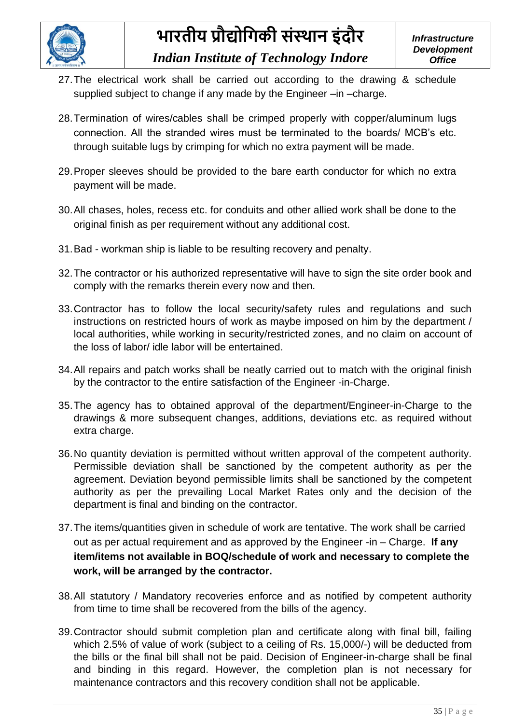

- 27.The electrical work shall be carried out according to the drawing & schedule supplied subject to change if any made by the Engineer –in –charge.
- 28.Termination of wires/cables shall be crimped properly with copper/aluminum lugs connection. All the stranded wires must be terminated to the boards/ MCB's etc. through suitable lugs by crimping for which no extra payment will be made.
- 29.Proper sleeves should be provided to the bare earth conductor for which no extra payment will be made.
- 30.All chases, holes, recess etc. for conduits and other allied work shall be done to the original finish as per requirement without any additional cost.
- 31.Bad workman ship is liable to be resulting recovery and penalty.
- 32.The contractor or his authorized representative will have to sign the site order book and comply with the remarks therein every now and then.
- 33.Contractor has to follow the local security/safety rules and regulations and such instructions on restricted hours of work as maybe imposed on him by the department / local authorities, while working in security/restricted zones, and no claim on account of the loss of labor/ idle labor will be entertained.
- 34.All repairs and patch works shall be neatly carried out to match with the original finish by the contractor to the entire satisfaction of the Engineer -in-Charge.
- 35.The agency has to obtained approval of the department/Engineer-in-Charge to the drawings & more subsequent changes, additions, deviations etc. as required without extra charge.
- 36.No quantity deviation is permitted without written approval of the competent authority. Permissible deviation shall be sanctioned by the competent authority as per the agreement. Deviation beyond permissible limits shall be sanctioned by the competent authority as per the prevailing Local Market Rates only and the decision of the department is final and binding on the contractor.
- 37.The items/quantities given in schedule of work are tentative. The work shall be carried out as per actual requirement and as approved by the Engineer -in – Charge. **If any item/items not available in BOQ/schedule of work and necessary to complete the work, will be arranged by the contractor.**
- 38.All statutory / Mandatory recoveries enforce and as notified by competent authority from time to time shall be recovered from the bills of the agency.
- 39.Contractor should submit completion plan and certificate along with final bill, failing which 2.5% of value of work (subject to a ceiling of Rs. 15,000/-) will be deducted from the bills or the final bill shall not be paid. Decision of Engineer-in-charge shall be final and binding in this regard. However, the completion plan is not necessary for maintenance contractors and this recovery condition shall not be applicable.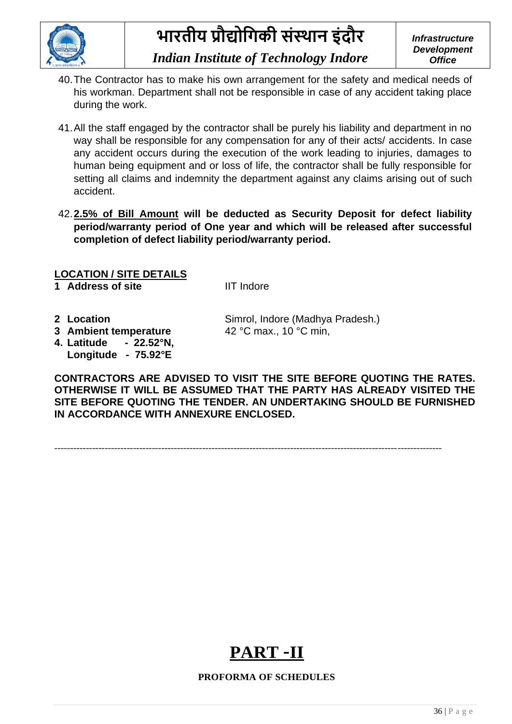

### *Indian Institute of Technology Indore*

- 40.The Contractor has to make his own arrangement for the safety and medical needs of his workman. Department shall not be responsible in case of any accident taking place during the work.
- 41.All the staff engaged by the contractor shall be purely his liability and department in no way shall be responsible for any compensation for any of their acts/ accidents. In case any accident occurs during the execution of the work leading to injuries, damages to human being equipment and or loss of life, the contractor shall be fully responsible for setting all claims and indemnity the department against any claims arising out of such accident.
- 42.**2.5% of Bill Amount will be deducted as Security Deposit for defect liability period/warranty period of One year and which will be released after successful completion of defect liability period/warranty period.**

### **LOCATION / SITE DETAILS**

**4. Latitude - 22.52°N, Longitude - 75.92°E**

**1 Address of site IIT Indore** 

**2 Location** Simrol, Indore (Madhya Pradesh.) **3** Ambient temperature 42 °C max., 10 °C min,

**CONTRACTORS ARE ADVISED TO VISIT THE SITE BEFORE QUOTING THE RATES. OTHERWISE IT WILL BE ASSUMED THAT THE PARTY HAS ALREADY VISITED THE SITE BEFORE QUOTING THE TENDER. AN UNDERTAKING SHOULD BE FURNISHED IN ACCORDANCE WITH ANNEXURE ENCLOSED.**

---------------------------------------------------------------------------------------------------------------------------



#### **PROFORMA OF SCHEDULES**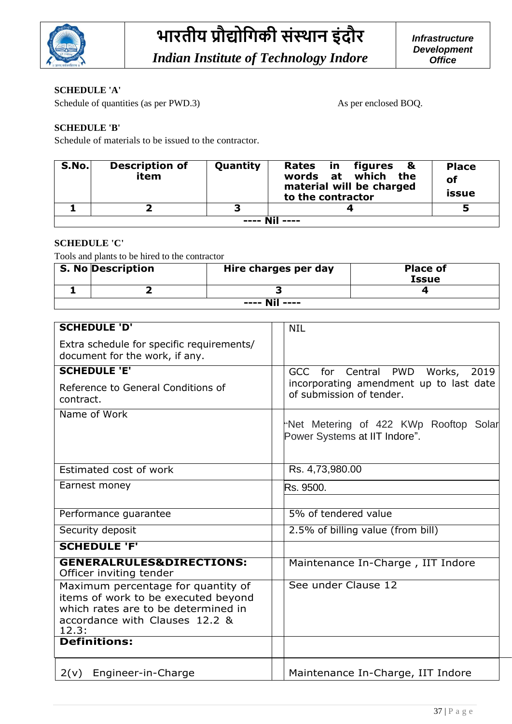

#### **SCHEDULE 'A'**

Schedule of quantities (as per PWD.3) As per enclosed BOQ.

#### **SCHEDULE 'B'**

Schedule of materials to be issued to the contractor.

| S.No.           | <b>Description of</b><br>item | Quantity | Rates in figures &<br>words at which the<br>material will be charged<br>to the contractor | <b>Place</b><br>οf<br>issue |  |  |
|-----------------|-------------------------------|----------|-------------------------------------------------------------------------------------------|-----------------------------|--|--|
|                 |                               | ∍        |                                                                                           |                             |  |  |
| $---$ Nil $---$ |                               |          |                                                                                           |                             |  |  |

#### **SCHEDULE 'C'**

Tools and plants to be hired to the contractor

|                 | <b>S. No Description</b> | Hire charges per day | <b>Place of</b><br><b>Issue</b> |  |  |  |  |
|-----------------|--------------------------|----------------------|---------------------------------|--|--|--|--|
|                 |                          |                      |                                 |  |  |  |  |
| $---$ Nil $---$ |                          |                      |                                 |  |  |  |  |

| <b>SCHEDULE 'D'</b>                                                                                                                                         | <b>NIL</b>                                                              |
|-------------------------------------------------------------------------------------------------------------------------------------------------------------|-------------------------------------------------------------------------|
| Extra schedule for specific requirements/<br>document for the work, if any.                                                                                 |                                                                         |
| <b>SCHEDULE 'E'</b>                                                                                                                                         | GCC for Central PWD Works,<br>2019                                      |
| Reference to General Conditions of<br>contract.                                                                                                             | incorporating amendment up to last date<br>of submission of tender.     |
| Name of Work                                                                                                                                                | "Net Metering of 422 KWp Rooftop Solar<br>Power Systems at IIT Indore". |
| Estimated cost of work                                                                                                                                      | Rs. 4,73,980.00                                                         |
| Earnest money                                                                                                                                               | Rs. 9500.                                                               |
| Performance guarantee                                                                                                                                       | 5% of tendered value                                                    |
| Security deposit                                                                                                                                            | 2.5% of billing value (from bill)                                       |
| <b>SCHEDULE 'F'</b>                                                                                                                                         |                                                                         |
| <b>GENERALRULES&amp;DIRECTIONS:</b><br>Officer inviting tender                                                                                              | Maintenance In-Charge, IIT Indore                                       |
| Maximum percentage for quantity of<br>items of work to be executed beyond<br>which rates are to be determined in<br>accordance with Clauses 12.2 &<br>12.3: | See under Clause 12                                                     |
| <b>Definitions:</b>                                                                                                                                         |                                                                         |
| 2(v)<br>Engineer-in-Charge                                                                                                                                  | Maintenance In-Charge, IIT Indore                                       |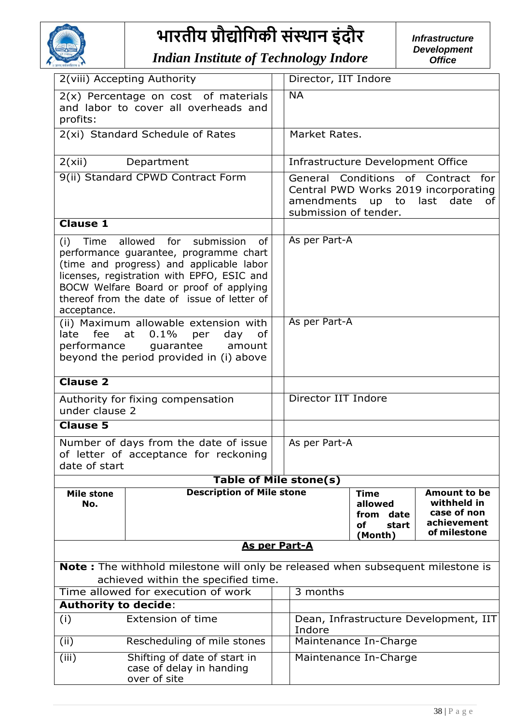

*Indian Institute of Technology Indore*

|                                                                                                                                                                                                                                                                                       | 2(viii) Accepting Authority                                                                                                |  | Director, IIT Indore                                                                                                                    |                                                                  |                                                                                  |  |
|---------------------------------------------------------------------------------------------------------------------------------------------------------------------------------------------------------------------------------------------------------------------------------------|----------------------------------------------------------------------------------------------------------------------------|--|-----------------------------------------------------------------------------------------------------------------------------------------|------------------------------------------------------------------|----------------------------------------------------------------------------------|--|
| profits:                                                                                                                                                                                                                                                                              | $2(x)$ Percentage on cost of materials<br>and labor to cover all overheads and                                             |  | $\overline{NA}$                                                                                                                         |                                                                  |                                                                                  |  |
|                                                                                                                                                                                                                                                                                       | 2(xi) Standard Schedule of Rates                                                                                           |  | Market Rates.                                                                                                                           |                                                                  |                                                                                  |  |
| 2(xii)                                                                                                                                                                                                                                                                                | Department                                                                                                                 |  |                                                                                                                                         | Infrastructure Development Office                                |                                                                                  |  |
|                                                                                                                                                                                                                                                                                       | 9(ii) Standard CPWD Contract Form                                                                                          |  | General Conditions of Contract for<br>Central PWD Works 2019 incorporating<br>amendments up to last date<br>of<br>submission of tender. |                                                                  |                                                                                  |  |
| <b>Clause 1</b>                                                                                                                                                                                                                                                                       |                                                                                                                            |  |                                                                                                                                         |                                                                  |                                                                                  |  |
| Time allowed for submission<br>of<br>(i)<br>performance guarantee, programme chart<br>(time and progress) and applicable labor<br>licenses, registration with EPFO, ESIC and<br>BOCW Welfare Board or proof of applying<br>thereof from the date of issue of letter of<br>acceptance. |                                                                                                                            |  | As per Part-A                                                                                                                           |                                                                  |                                                                                  |  |
| (ii) Maximum allowable extension with<br>late fee<br>at<br>0.1%<br>day<br>per<br>of<br>performance guarantee<br>amount<br>beyond the period provided in (i) above                                                                                                                     |                                                                                                                            |  | As per Part-A                                                                                                                           |                                                                  |                                                                                  |  |
| <b>Clause 2</b>                                                                                                                                                                                                                                                                       |                                                                                                                            |  |                                                                                                                                         |                                                                  |                                                                                  |  |
| under clause 2                                                                                                                                                                                                                                                                        | Authority for fixing compensation                                                                                          |  | Director IIT Indore                                                                                                                     |                                                                  |                                                                                  |  |
| <b>Clause 5</b>                                                                                                                                                                                                                                                                       |                                                                                                                            |  |                                                                                                                                         |                                                                  |                                                                                  |  |
| date of start                                                                                                                                                                                                                                                                         | Number of days from the date of issue<br>of letter of acceptance for reckoning                                             |  | As per Part-A                                                                                                                           |                                                                  |                                                                                  |  |
|                                                                                                                                                                                                                                                                                       | <b>Table of Mile stone(s)</b>                                                                                              |  |                                                                                                                                         |                                                                  |                                                                                  |  |
| <b>Mile stone</b><br>No.                                                                                                                                                                                                                                                              | <b>Description of Mile stone</b>                                                                                           |  |                                                                                                                                         | <b>Time</b><br>allowed<br>from<br>date<br>start<br>οf<br>(Month) | <b>Amount to be</b><br>withheld in<br>case of non<br>achievement<br>of milestone |  |
|                                                                                                                                                                                                                                                                                       | <b>As per Part-A</b>                                                                                                       |  |                                                                                                                                         |                                                                  |                                                                                  |  |
| Note: The withhold milestone will only be released when subsequent milestone is                                                                                                                                                                                                       |                                                                                                                            |  |                                                                                                                                         |                                                                  |                                                                                  |  |
| achieved within the specified time.                                                                                                                                                                                                                                                   |                                                                                                                            |  |                                                                                                                                         |                                                                  |                                                                                  |  |
| Time allowed for execution of work<br><b>Authority to decide:</b>                                                                                                                                                                                                                     |                                                                                                                            |  | 3 months                                                                                                                                |                                                                  |                                                                                  |  |
| (i)                                                                                                                                                                                                                                                                                   | Extension of time                                                                                                          |  | Indore                                                                                                                                  |                                                                  | Dean, Infrastructure Development, IIT                                            |  |
| (ii)                                                                                                                                                                                                                                                                                  | Rescheduling of mile stones                                                                                                |  |                                                                                                                                         |                                                                  |                                                                                  |  |
| (iii)                                                                                                                                                                                                                                                                                 | Maintenance In-Charge<br>Shifting of date of start in<br>Maintenance In-Charge<br>case of delay in handing<br>over of site |  |                                                                                                                                         |                                                                  |                                                                                  |  |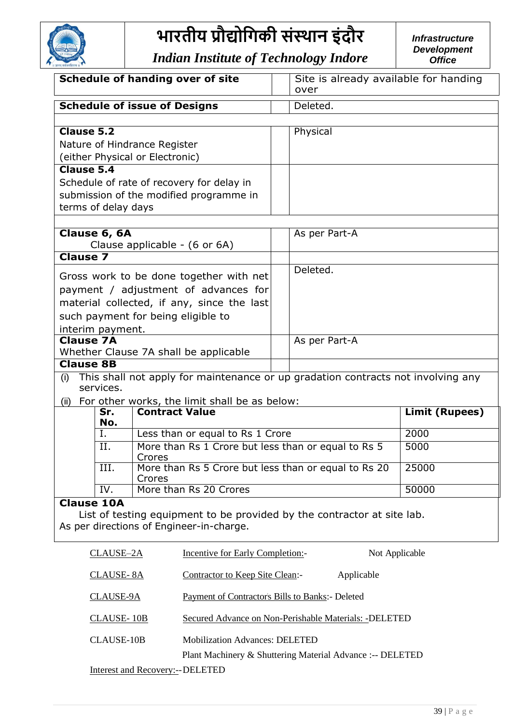

| <b>Schedule of handing over of site</b>                                                                                                                             |                                        |                                                                                                                     |  | Site is already available for handing<br>over             |                |  |
|---------------------------------------------------------------------------------------------------------------------------------------------------------------------|----------------------------------------|---------------------------------------------------------------------------------------------------------------------|--|-----------------------------------------------------------|----------------|--|
|                                                                                                                                                                     |                                        | <b>Schedule of issue of Designs</b>                                                                                 |  | Deleted.                                                  |                |  |
|                                                                                                                                                                     |                                        |                                                                                                                     |  |                                                           |                |  |
| Clause 5.2                                                                                                                                                          |                                        | Nature of Hindrance Register                                                                                        |  | Physical                                                  |                |  |
|                                                                                                                                                                     |                                        | (either Physical or Electronic)                                                                                     |  |                                                           |                |  |
| <b>Clause 5.4</b>                                                                                                                                                   |                                        | Schedule of rate of recovery for delay in                                                                           |  |                                                           |                |  |
|                                                                                                                                                                     | terms of delay days                    | submission of the modified programme in                                                                             |  |                                                           |                |  |
|                                                                                                                                                                     |                                        |                                                                                                                     |  |                                                           |                |  |
|                                                                                                                                                                     | Clause 6, 6A                           | Clause applicable - (6 or 6A)                                                                                       |  | As per Part-A                                             |                |  |
| <b>Clause 7</b>                                                                                                                                                     |                                        |                                                                                                                     |  |                                                           |                |  |
| Gross work to be done together with net<br>payment / adjustment of advances for<br>material collected, if any, since the last<br>such payment for being eligible to |                                        |                                                                                                                     |  | Deleted.                                                  |                |  |
| <b>Clause 7A</b>                                                                                                                                                    | interim payment.                       |                                                                                                                     |  | As per Part-A                                             |                |  |
|                                                                                                                                                                     |                                        | Whether Clause 7A shall be applicable                                                                               |  |                                                           |                |  |
| <b>Clause 8B</b>                                                                                                                                                    |                                        |                                                                                                                     |  |                                                           |                |  |
| (i)                                                                                                                                                                 |                                        | This shall not apply for maintenance or up gradation contracts not involving any                                    |  |                                                           |                |  |
|                                                                                                                                                                     | services.                              |                                                                                                                     |  |                                                           |                |  |
|                                                                                                                                                                     | Sr.                                    | (ii) For other works, the limit shall be as below:<br><b>Contract Value</b>                                         |  |                                                           | Limit (Rupees) |  |
|                                                                                                                                                                     | No.                                    |                                                                                                                     |  |                                                           |                |  |
|                                                                                                                                                                     | Ι.                                     | Less than or equal to Rs 1 Crore                                                                                    |  |                                                           | 2000           |  |
|                                                                                                                                                                     | II.                                    | More than Rs 1 Crore but less than or equal to Rs 5<br>Crores                                                       |  |                                                           | 5000           |  |
|                                                                                                                                                                     | III.                                   | More than Rs 5 Crore but less than or equal to Rs 20<br>Crores                                                      |  |                                                           | 25000          |  |
|                                                                                                                                                                     | IV.                                    | More than Rs 20 Crores                                                                                              |  |                                                           | 50000          |  |
| <b>Clause 10A</b>                                                                                                                                                   |                                        | List of testing equipment to be provided by the contractor at site lab.<br>As per directions of Engineer-in-charge. |  |                                                           |                |  |
| Incentive for Early Completion:-<br><b>CLAUSE-2A</b>                                                                                                                |                                        |                                                                                                                     |  | Not Applicable                                            |                |  |
| Contractor to Keep Site Clean:-<br><b>CLAUSE-8A</b>                                                                                                                 |                                        |                                                                                                                     |  | Applicable                                                |                |  |
| <b>Payment of Contractor's Bills to Banks:</b> - Deleted<br>CLAUSE-9A                                                                                               |                                        |                                                                                                                     |  |                                                           |                |  |
|                                                                                                                                                                     | <b>CLAUSE-10B</b>                      |                                                                                                                     |  | Secured Advance on Non-Perishable Materials: - DELETED    |                |  |
|                                                                                                                                                                     | <b>CLAUSE-10B</b>                      | <b>Mobilization Advances: DELETED</b>                                                                               |  | Plant Machinery & Shuttering Material Advance :-- DELETED |                |  |
|                                                                                                                                                                     | <b>Interest and Recovery:--DELETED</b> |                                                                                                                     |  |                                                           |                |  |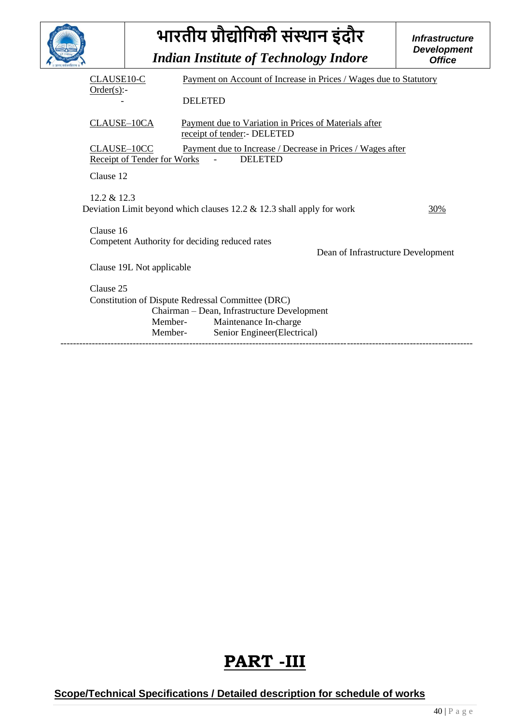|             | भारतीय प्रौद्योगिकी संस्थान इंदौर                                                                                                 | <b>Infrastructure</b><br><b>Development</b>                                                                                                              |     |  |  |  |
|-------------|-----------------------------------------------------------------------------------------------------------------------------------|----------------------------------------------------------------------------------------------------------------------------------------------------------|-----|--|--|--|
|             |                                                                                                                                   | <b>Indian Institute of Technology Indore</b>                                                                                                             |     |  |  |  |
|             | CLAUSE <sub>10-C</sub><br>Payment on Account of Increase in Prices / Wages due to Statutory                                       |                                                                                                                                                          |     |  |  |  |
| Order(s):   |                                                                                                                                   | <b>DELETED</b>                                                                                                                                           |     |  |  |  |
| CLAUSE-10CA |                                                                                                                                   | Payment due to Variation in Prices of Materials after<br>receipt of tender:- DELETED                                                                     |     |  |  |  |
|             | CLAUSE-10CC<br>Payment due to Increase / Decrease in Prices / Wages after<br><b>Receipt of Tender for Works</b><br><b>DELETED</b> |                                                                                                                                                          |     |  |  |  |
| Clause 12   |                                                                                                                                   |                                                                                                                                                          |     |  |  |  |
| 12.2 & 12.3 |                                                                                                                                   | Deviation Limit beyond which clauses $12.2 \& 12.3$ shall apply for work                                                                                 | 30% |  |  |  |
| Clause 16   |                                                                                                                                   |                                                                                                                                                          |     |  |  |  |
|             | Competent Authority for deciding reduced rates                                                                                    | Dean of Infrastructure Development                                                                                                                       |     |  |  |  |
|             | Clause 19L Not applicable                                                                                                         |                                                                                                                                                          |     |  |  |  |
| Clause 25   |                                                                                                                                   |                                                                                                                                                          |     |  |  |  |
|             | Member-<br>Member-                                                                                                                | Constitution of Dispute Redressal Committee (DRC)<br>Chairman - Dean, Infrastructure Development<br>Maintenance In-charge<br>Senior Engineer(Electrical) |     |  |  |  |
|             |                                                                                                                                   |                                                                                                                                                          |     |  |  |  |

### **PART -III**

**Scope/Technical Specifications / Detailed description for schedule of works**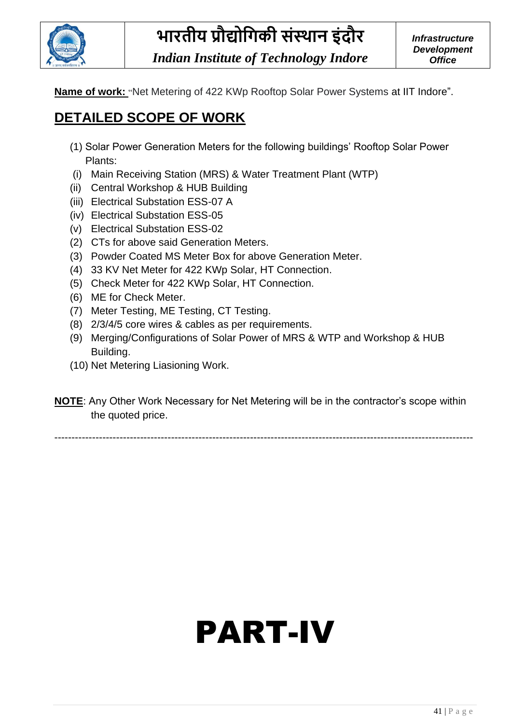

*Indian Institute of Technology Indore*

**Name of work:** "Net Metering of 422 KWp Rooftop Solar Power Systems at IIT Indore".

### **DETAILED SCOPE OF WORK**

- (1) Solar Power Generation Meters for the following buildings' Rooftop Solar Power Plants:
- (i) Main Receiving Station (MRS) & Water Treatment Plant (WTP)
- (ii) Central Workshop & HUB Building
- (iii) Electrical Substation ESS-07 A
- (iv) Electrical Substation ESS-05
- (v) Electrical Substation ESS-02
- (2) CTs for above said Generation Meters.
- (3) Powder Coated MS Meter Box for above Generation Meter.
- (4) 33 KV Net Meter for 422 KWp Solar, HT Connection.
- (5) Check Meter for 422 KWp Solar, HT Connection.
- (6) ME for Check Meter.
- (7) Meter Testing, ME Testing, CT Testing.
- (8) 2/3/4/5 core wires & cables as per requirements.
- (9) Merging/Configurations of Solar Power of MRS & WTP and Workshop & HUB Building.
- (10) Net Metering Liasioning Work.

**NOTE**: Any Other Work Necessary for Net Metering will be in the contractor's scope within the quoted price.

--------------------------------------------------------------------------------------------------------------------------

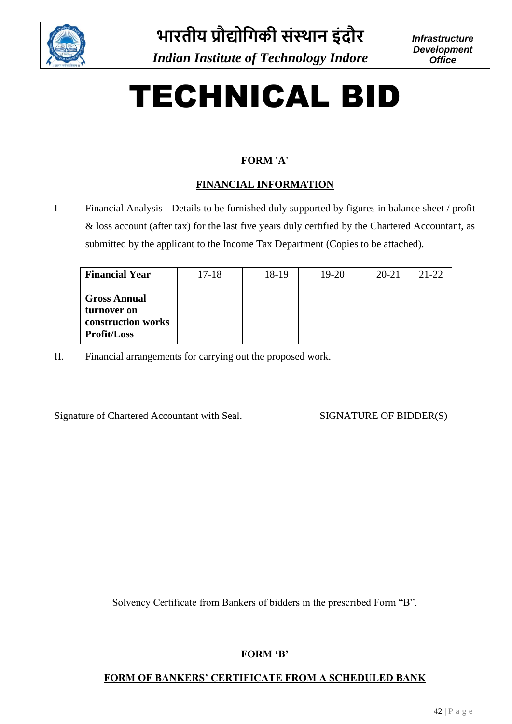

# TECHNICAL BID

### **FORM 'A'**

### **FINANCIAL INFORMATION**

I Financial Analysis - Details to be furnished duly supported by figures in balance sheet / profit & loss account (after tax) for the last five years duly certified by the Chartered Accountant, as submitted by the applicant to the Income Tax Department (Copies to be attached).

| <b>Financial Year</b>                                    | $17 - 18$ | 18-19 | 19-20 | $20 - 21$ | $21 - 22$ |
|----------------------------------------------------------|-----------|-------|-------|-----------|-----------|
| <b>Gross Annual</b><br>turnover on<br>construction works |           |       |       |           |           |
| <b>Profit/Loss</b>                                       |           |       |       |           |           |

II. Financial arrangements for carrying out the proposed work.

Signature of Chartered Accountant with Seal. SIGNATURE OF BIDDER(S)

Solvency Certificate from Bankers of bidders in the prescribed Form "B".

### **FORM 'B'**

### **FORM OF BANKERS' CERTIFICATE FROM A SCHEDULED BANK**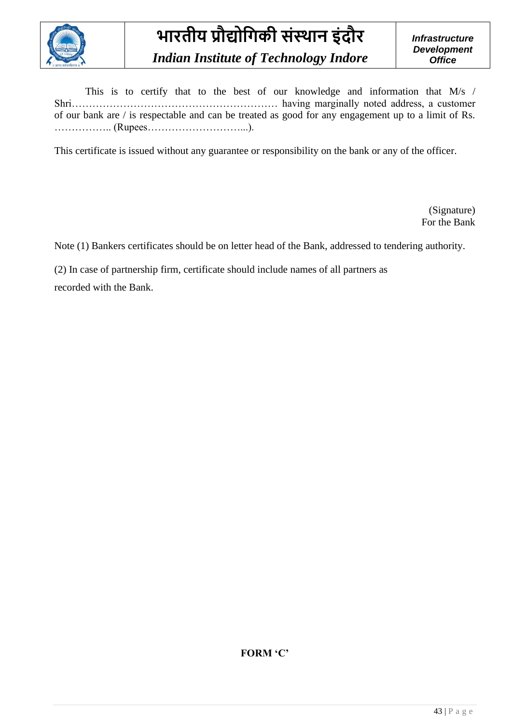

This is to certify that to the best of our knowledge and information that M/s / Shri…………………………………………………… having marginally noted address, a customer of our bank are / is respectable and can be treated as good for any engagement up to a limit of Rs. …………….. (Rupees………………………...).

This certificate is issued without any guarantee or responsibility on the bank or any of the officer.

(Signature) For the Bank

Note (1) Bankers certificates should be on letter head of the Bank, addressed to tendering authority.

(2) In case of partnership firm, certificate should include names of all partners as

recorded with the Bank.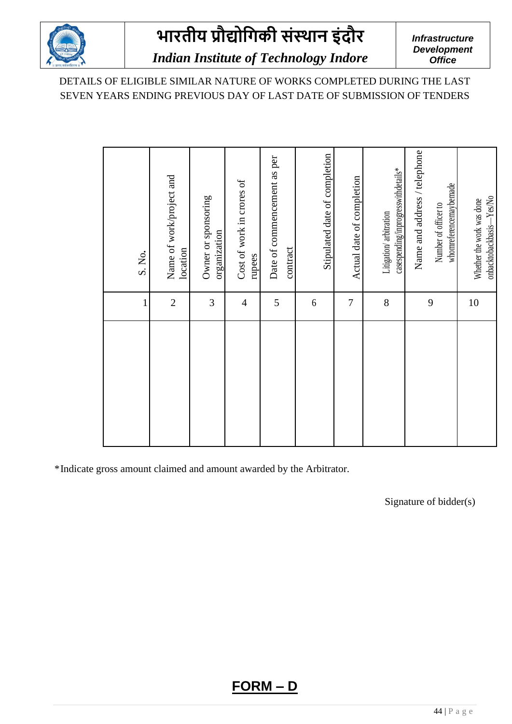

*Infrastructure Development Office*

### *Indian Institute of Technology Indore*

DETAILS OF ELIGIBLE SIMILAR NATURE OF WORKS COMPLETED DURING THE LAST SEVEN YEARS ENDING PREVIOUS DAY OF LAST DATE OF SUBMISSION OF TENDERS

|                | S. No.                                                                         |
|----------------|--------------------------------------------------------------------------------|
| $\overline{2}$ | Name of work/project and<br>location                                           |
| $\mathfrak{Z}$ | Owner or sponsoring<br>organization                                            |
| $\overline{4}$ | Cost of work in crores of<br>rupees                                            |
| 5              | Date of commencement as per<br>contract                                        |
| $\sqrt{6}$     | Stipulated date of completion                                                  |
| $\overline{7}$ | Actual date of completion                                                      |
| 8              | casespending/inprogresswithdetails*<br>Litigation/ arbitration                 |
| 9              | Name and address / telephone<br>whomreferencemaybemade<br>Number of officer to |
| 10             | onbacktobackbasis-Yes/No<br>Whether the work was done                          |

\*Indicate gross amount claimed and amount awarded by the Arbitrator.

Signature of bidder(s)

**FORM – D**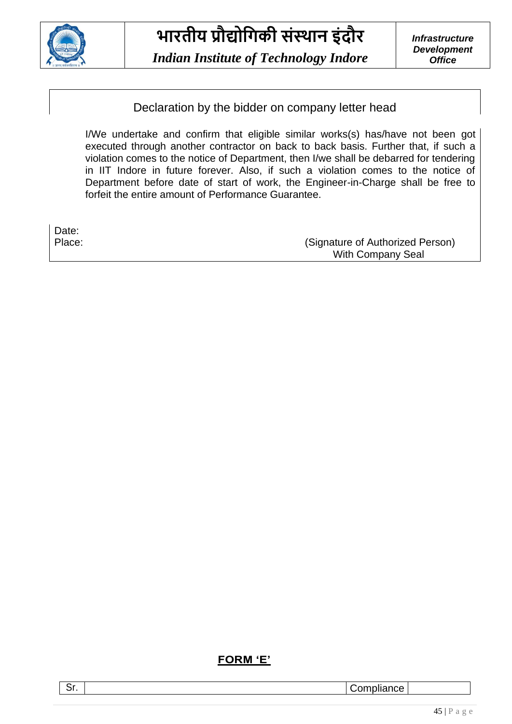

*Indian Institute of Technology Indore*

*Infrastructure Development Office*

Declaration by the bidder on company letter head

I/We undertake and confirm that eligible similar works(s) has/have not been got executed through another contractor on back to back basis. Further that, if such a violation comes to the notice of Department, then I/we shall be debarred for tendering in IIT Indore in future forever. Also, if such a violation comes to the notice of Department before date of start of work, the Engineer-in-Charge shall be free to forfeit the entire amount of Performance Guarantee.

| Date:  |                                  |
|--------|----------------------------------|
| Place: | (Signature of Authorized Person) |
|        | With Company Seal                |

### **FORM 'E'**

Sr. | Compliance | Compliance | Compliance | Compliance | Compliance | Compliance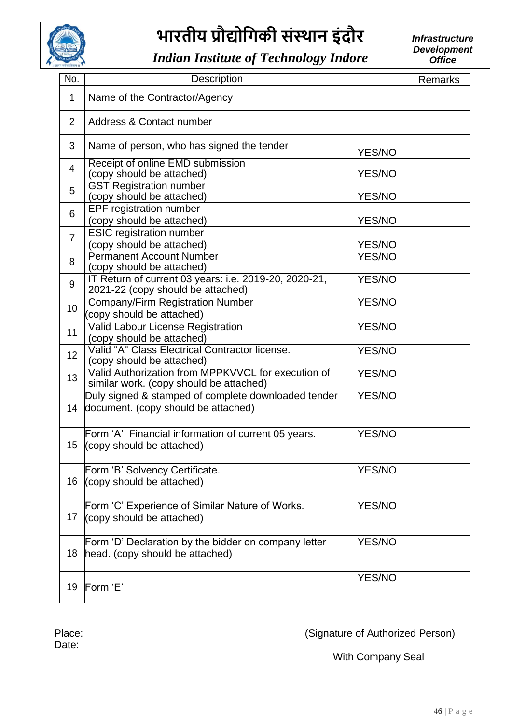

*Indian Institute of Technology Indore*

*Infrastructure Development Office*

| No.             | <b>Description</b>                                                                            |               | <b>Remarks</b> |
|-----------------|-----------------------------------------------------------------------------------------------|---------------|----------------|
| 1               | Name of the Contractor/Agency                                                                 |               |                |
| $\overline{2}$  | Address & Contact number                                                                      |               |                |
| 3               | Name of person, who has signed the tender                                                     | YES/NO        |                |
| $\overline{4}$  | Receipt of online EMD submission<br>(copy should be attached)                                 | YES/NO        |                |
| 5               | <b>GST Registration number</b><br>(copy should be attached)                                   | YES/NO        |                |
| 6               | EPF registration number<br>(copy should be attached)                                          | YES/NO        |                |
| $\overline{7}$  | <b>ESIC registration number</b><br>(copy should be attached)                                  | YES/NO        |                |
| 8               | <b>Permanent Account Number</b><br>(copy should be attached)                                  | <b>YES/NO</b> |                |
| 9               | IT Return of current 03 years: i.e. 2019-20, 2020-21,<br>2021-22 (copy should be attached)    | YES/NO        |                |
| 10              | <b>Company/Firm Registration Number</b><br>(copy should be attached)                          | <b>YES/NO</b> |                |
| 11              | Valid Labour License Registration<br>(copy should be attached)                                | YES/NO        |                |
| 12 <sup>°</sup> | Valid "A" Class Electrical Contractor license.<br>(copy should be attached)                   | <b>YES/NO</b> |                |
| 13              | Valid Authorization from MPPKVVCL for execution of<br>similar work. (copy should be attached) | YES/NO        |                |
| 14              | Duly signed & stamped of complete downloaded tender<br>document. (copy should be attached)    | YES/NO        |                |
| 15 <sub>1</sub> | Form 'A' Financial information of current 05 years.<br>(copy should be attached)              | <b>YES/NO</b> |                |
| 16              | Form 'B' Solvency Certificate.<br>(copy should be attached)                                   | YES/NO        |                |
| 17              | Form 'C' Experience of Similar Nature of Works.<br>(copy should be attached)                  | YES/NO        |                |
| 18              | Form 'D' Declaration by the bidder on company letter<br>head. (copy should be attached)       | YES/NO        |                |
| 19              | Form 'E'                                                                                      | YES/NO        |                |

Date:

Place: Place: Place: (Signature of Authorized Person)

With Company Seal